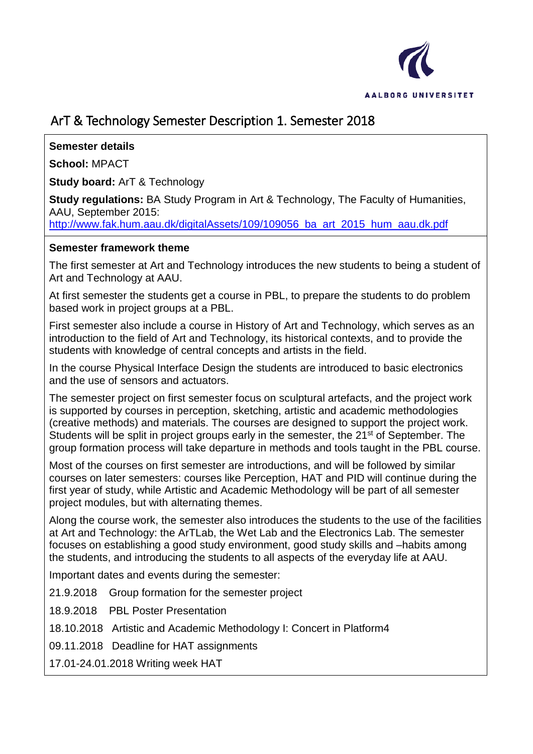

# ArT & Technology Semester Description 1. Semester 2018

## **Semester details**

**School:** MPACT

**Study board:** ArT & Technology

**Study regulations:** BA Study Program in Art & Technology, The Faculty of Humanities, AAU, September 2015:

[http://www.fak.hum.aau.dk/digitalAssets/109/109056\\_ba\\_art\\_2015\\_hum\\_aau.dk.pdf](http://www.fak.hum.aau.dk/digitalAssets/109/109056_ba_art_2015_hum_aau.dk.pdf)

### **Semester framework theme**

The first semester at Art and Technology introduces the new students to being a student of Art and Technology at AAU.

At first semester the students get a course in PBL, to prepare the students to do problem based work in project groups at a PBL.

First semester also include a course in History of Art and Technology, which serves as an introduction to the field of Art and Technology, its historical contexts, and to provide the students with knowledge of central concepts and artists in the field.

In the course Physical Interface Design the students are introduced to basic electronics and the use of sensors and actuators.

The semester project on first semester focus on sculptural artefacts, and the project work is supported by courses in perception, sketching, artistic and academic methodologies (creative methods) and materials. The courses are designed to support the project work. Students will be split in project groups early in the semester, the 21<sup>st</sup> of September. The group formation process will take departure in methods and tools taught in the PBL course.

Most of the courses on first semester are introductions, and will be followed by similar courses on later semesters: courses like Perception, HAT and PID will continue during the first year of study, while Artistic and Academic Methodology will be part of all semester project modules, but with alternating themes.

Along the course work, the semester also introduces the students to the use of the facilities at Art and Technology: the ArTLab, the Wet Lab and the Electronics Lab. The semester focuses on establishing a good study environment, good study skills and –habits among the students, and introducing the students to all aspects of the everyday life at AAU.

Important dates and events during the semester:

21.9.2018 Group formation for the semester project

18.9.2018 PBL Poster Presentation

- 18.10.2018 Artistic and Academic Methodology I: Concert in Platform4
- 09.11.2018 Deadline for HAT assignments

17.01-24.01.2018 Writing week HAT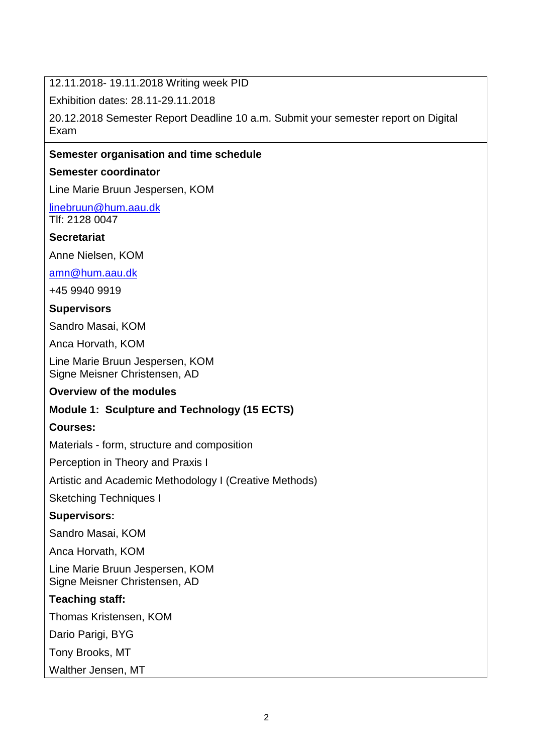12.11.2018- 19.11.2018 Writing week PID

Exhibition dates: 28.11-29.11.2018

20.12.2018 Semester Report Deadline 10 a.m. Submit your semester report on Digital Exam

### **Semester organisation and time schedule**

#### **Semester coordinator**

Line Marie Bruun Jespersen, KOM

[linebruun@hum.aau.dk](mailto:linebruun@hum.aau.dk) Tlf: 2128 0047

#### **Secretariat**

Anne Nielsen, KOM

[amn@hum.aau.dk](mailto:amn@hum.aau.dk)

+45 9940 9919

### **Supervisors**

Sandro Masai, KOM

Anca Horvath, KOM

Line Marie Bruun Jespersen, KOM Signe Meisner Christensen, AD

#### **Overview of the modules**

## **Module 1: Sculpture and Technology (15 ECTS)**

#### **Courses:**

Materials - form, structure and composition

Perception in Theory and Praxis I

Artistic and Academic Methodology I (Creative Methods)

Sketching Techniques I

## **Supervisors:**

Sandro Masai, KOM

Anca Horvath, KOM

Line Marie Bruun Jespersen, KOM Signe Meisner Christensen, AD

## **Teaching staff:**

Thomas Kristensen, KOM

Dario Parigi, BYG

Tony Brooks, MT

Walther Jensen, MT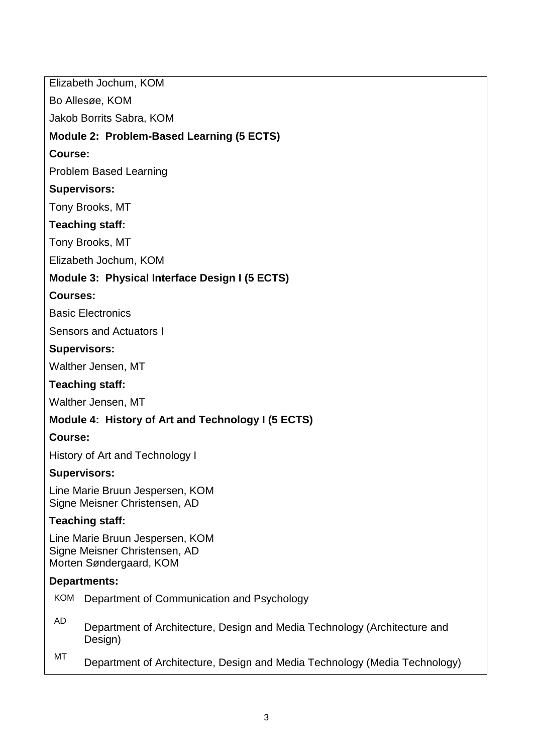Elizabeth Jochum, KOM Bo Allesøe, KOM Jakob Borrits Sabra, KOM **Module 2: Problem-Based Learning (5 ECTS) Course:** Problem Based Learning **Supervisors:** Tony Brooks, MT **Teaching staff:** Tony Brooks, MT Elizabeth Jochum, KOM **Module 3: Physical Interface Design I (5 ECTS) Courses:** Basic Electronics Sensors and Actuators I **Supervisors:** Walther Jensen, MT **Teaching staff:** Walther Jensen, MT **Module 4: History of Art and Technology I (5 ECTS) Course:** History of Art and Technology I **Supervisors:** Line Marie Bruun Jespersen, KOM Signe Meisner Christensen, AD **Teaching staff:** Line Marie Bruun Jespersen, KOM Signe Meisner Christensen, AD Morten Søndergaard, KOM **Departments:** KOM Department of Communication and Psychology AD Department of Architecture, Design and Media Technology (Architecture and Design) MT Department of Architecture, Design and Media Technology (Media Technology)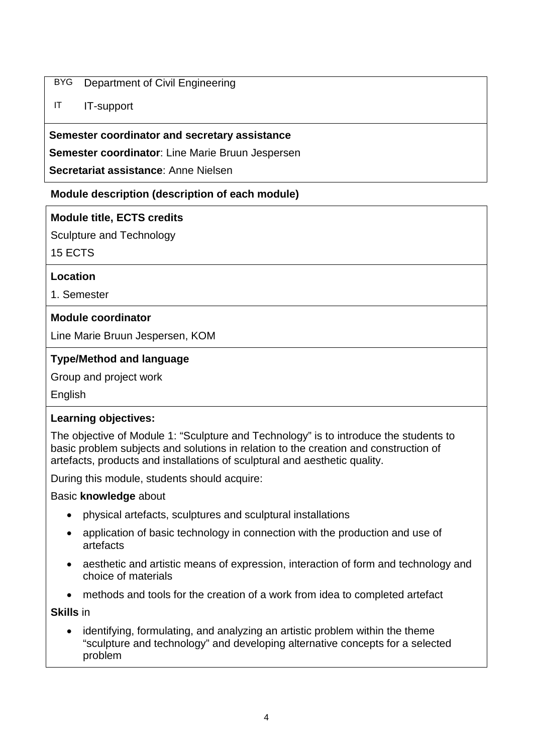## BYG Department of Civil Engineering

## IT IT-support

### **Semester coordinator and secretary assistance**

**Semester coordinator**: Line Marie Bruun Jespersen

**Secretariat assistance**: Anne Nielsen

## **Module description (description of each module)**

## **Module title, ECTS credits**

Sculpture and Technology

15 ECTS

## **Location**

1. Semester

## **Module coordinator**

Line Marie Bruun Jespersen, KOM

## **Type/Method and language**

Group and project work

English

## **Learning objectives:**

The objective of Module 1: "Sculpture and Technology" is to introduce the students to basic problem subjects and solutions in relation to the creation and construction of artefacts, products and installations of sculptural and aesthetic quality.

During this module, students should acquire:

#### Basic **knowledge** about

- physical artefacts, sculptures and sculptural installations
- application of basic technology in connection with the production and use of artefacts
- aesthetic and artistic means of expression, interaction of form and technology and choice of materials
- methods and tools for the creation of a work from idea to completed artefact

**Skills** in

• identifying, formulating, and analyzing an artistic problem within the theme "sculpture and technology" and developing alternative concepts for a selected problem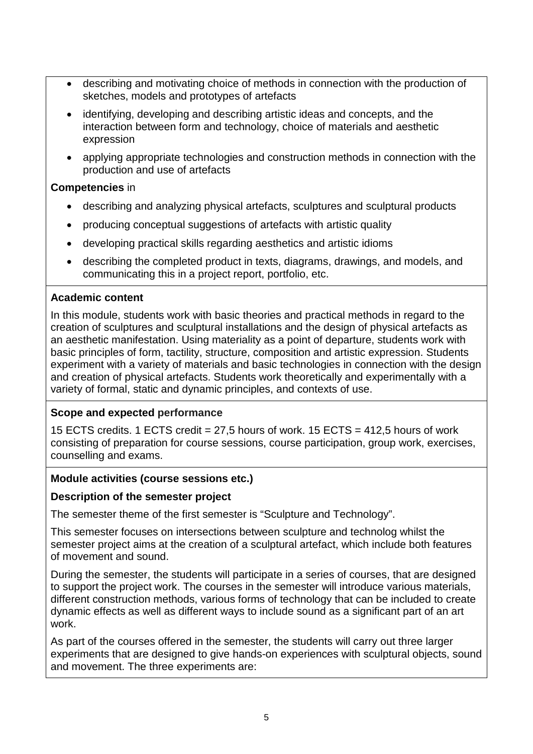- describing and motivating choice of methods in connection with the production of sketches, models and prototypes of artefacts
- identifying, developing and describing artistic ideas and concepts, and the interaction between form and technology, choice of materials and aesthetic expression
- applying appropriate technologies and construction methods in connection with the production and use of artefacts

## **Competencies** in

- describing and analyzing physical artefacts, sculptures and sculptural products
- producing conceptual suggestions of artefacts with artistic quality
- developing practical skills regarding aesthetics and artistic idioms
- describing the completed product in texts, diagrams, drawings, and models, and communicating this in a project report, portfolio, etc.

## **Academic content**

In this module, students work with basic theories and practical methods in regard to the creation of sculptures and sculptural installations and the design of physical artefacts as an aesthetic manifestation. Using materiality as a point of departure, students work with basic principles of form, tactility, structure, composition and artistic expression. Students experiment with a variety of materials and basic technologies in connection with the design and creation of physical artefacts. Students work theoretically and experimentally with a variety of formal, static and dynamic principles, and contexts of use.

## **Scope and expected performance**

15 ECTS credits. 1 ECTS credit = 27,5 hours of work. 15 ECTS = 412,5 hours of work consisting of preparation for course sessions, course participation, group work, exercises, counselling and exams.

## **Module activities (course sessions etc.)**

## **Description of the semester project**

The semester theme of the first semester is "Sculpture and Technology".

This semester focuses on intersections between sculpture and technolog whilst the semester project aims at the creation of a sculptural artefact, which include both features of movement and sound.

During the semester, the students will participate in a series of courses, that are designed to support the project work. The courses in the semester will introduce various materials, different construction methods, various forms of technology that can be included to create dynamic effects as well as different ways to include sound as a significant part of an art work.

As part of the courses offered in the semester, the students will carry out three larger experiments that are designed to give hands-on experiences with sculptural objects, sound and movement. The three experiments are: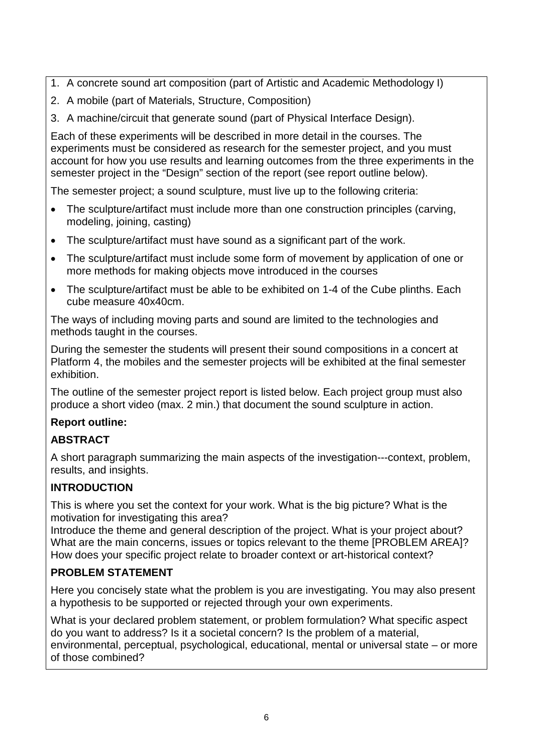- 1. A concrete sound art composition (part of Artistic and Academic Methodology I)
- 2. A mobile (part of Materials, Structure, Composition)
- 3. A machine/circuit that generate sound (part of Physical Interface Design).

Each of these experiments will be described in more detail in the courses. The experiments must be considered as research for the semester project, and you must account for how you use results and learning outcomes from the three experiments in the semester project in the "Design" section of the report (see report outline below).

The semester project; a sound sculpture, must live up to the following criteria:

- The sculpture/artifact must include more than one construction principles (carving, modeling, joining, casting)
- The sculpture/artifact must have sound as a significant part of the work.
- The sculpture/artifact must include some form of movement by application of one or more methods for making objects move introduced in the courses
- The sculpture/artifact must be able to be exhibited on 1-4 of the Cube plinths. Each cube measure 40x40cm.

The ways of including moving parts and sound are limited to the technologies and methods taught in the courses.

During the semester the students will present their sound compositions in a concert at Platform 4, the mobiles and the semester projects will be exhibited at the final semester exhibition.

The outline of the semester project report is listed below. Each project group must also produce a short video (max. 2 min.) that document the sound sculpture in action.

## **Report outline:**

## **ABSTRACT**

A short paragraph summarizing the main aspects of the investigation---context, problem, results, and insights.

## **INTRODUCTION**

This is where you set the context for your work. What is the big picture? What is the motivation for investigating this area?

Introduce the theme and general description of the project. What is your project about? What are the main concerns, issues or topics relevant to the theme [PROBLEM AREA]? How does your specific project relate to broader context or art-historical context?

## **PROBLEM STATEMENT**

Here you concisely state what the problem is you are investigating. You may also present a hypothesis to be supported or rejected through your own experiments.

What is your declared problem statement, or problem formulation? What specific aspect do you want to address? Is it a societal concern? Is the problem of a material, environmental, perceptual, psychological, educational, mental or universal state – or more of those combined?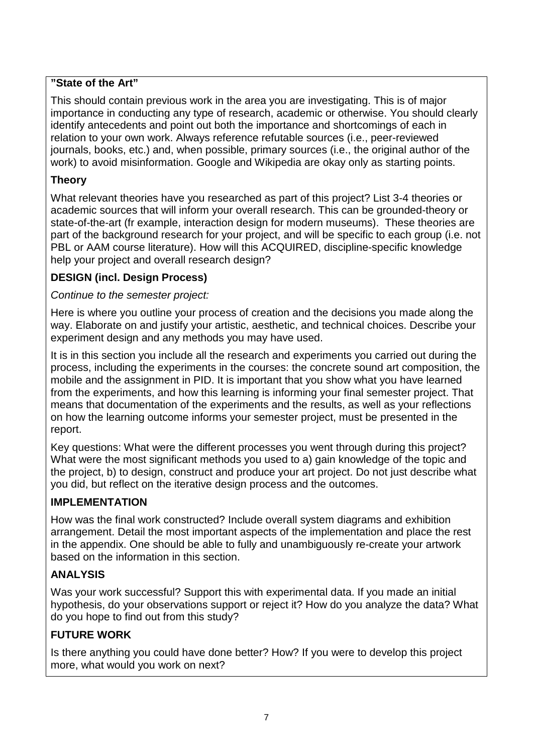## **"State of the Art"**

This should contain previous work in the area you are investigating. This is of major importance in conducting any type of research, academic or otherwise. You should clearly identify antecedents and point out both the importance and shortcomings of each in relation to your own work. Always reference refutable sources (i.e., peer-reviewed journals, books, etc.) and, when possible, primary sources (i.e., the original author of the work) to avoid misinformation. Google and Wikipedia are okay only as starting points.

## **Theory**

What relevant theories have you researched as part of this project? List 3-4 theories or academic sources that will inform your overall research. This can be grounded-theory or state-of-the-art (fr example, interaction design for modern museums). These theories are part of the background research for your project, and will be specific to each group (i.e. not PBL or AAM course literature). How will this ACQUIRED, discipline-specific knowledge help your project and overall research design?

## **DESIGN (incl. Design Process)**

## *Continue to the semester project:*

Here is where you outline your process of creation and the decisions you made along the way. Elaborate on and justify your artistic, aesthetic, and technical choices. Describe your experiment design and any methods you may have used.

It is in this section you include all the research and experiments you carried out during the process, including the experiments in the courses: the concrete sound art composition, the mobile and the assignment in PID. It is important that you show what you have learned from the experiments, and how this learning is informing your final semester project. That means that documentation of the experiments and the results, as well as your reflections on how the learning outcome informs your semester project, must be presented in the report.

Key questions: What were the different processes you went through during this project? What were the most significant methods you used to a) gain knowledge of the topic and the project, b) to design, construct and produce your art project. Do not just describe what you did, but reflect on the iterative design process and the outcomes.

## **IMPLEMENTATION**

How was the final work constructed? Include overall system diagrams and exhibition arrangement. Detail the most important aspects of the implementation and place the rest in the appendix. One should be able to fully and unambiguously re-create your artwork based on the information in this section.

## **ANALYSIS**

Was your work successful? Support this with experimental data. If you made an initial hypothesis, do your observations support or reject it? How do you analyze the data? What do you hope to find out from this study?

## **FUTURE WORK**

Is there anything you could have done better? How? If you were to develop this project more, what would you work on next?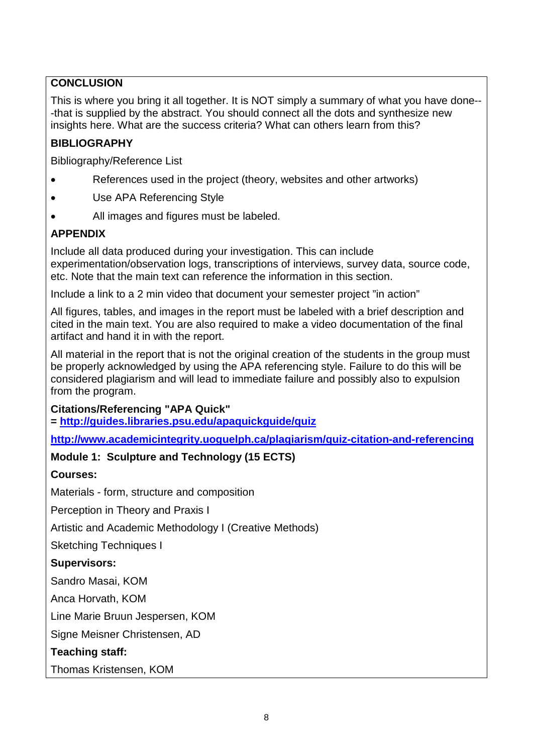## **CONCLUSION**

This is where you bring it all together. It is NOT simply a summary of what you have done-- -that is supplied by the abstract. You should connect all the dots and synthesize new insights here. What are the success criteria? What can others learn from this?

## **BIBLIOGRAPHY**

Bibliography/Reference List

- References used in the project (theory, websites and other artworks)
- Use APA Referencing Style
- All images and figures must be labeled.

## **APPENDIX**

Include all data produced during your investigation. This can include experimentation/observation logs, transcriptions of interviews, survey data, source code, etc. Note that the main text can reference the information in this section.

Include a link to a 2 min video that document your semester project "in action"

All figures, tables, and images in the report must be labeled with a brief description and cited in the main text. You are also required to make a video documentation of the final artifact and hand it in with the report.

All material in the report that is not the original creation of the students in the group must be properly acknowledged by using the APA referencing style. Failure to do this will be considered plagiarism and will lead to immediate failure and possibly also to expulsion from the program.

**Citations/Referencing "APA Quick"** 

**= <http://guides.libraries.psu.edu/apaquickguide/quiz>**

**<http://www.academicintegrity.uoguelph.ca/plagiarism/quiz-citation-and-referencing>**

## **Module 1: Sculpture and Technology (15 ECTS)**

#### **Courses:**

Materials - form, structure and composition

Perception in Theory and Praxis I

Artistic and Academic Methodology I (Creative Methods)

Sketching Techniques I

#### **Supervisors:**

Sandro Masai, KOM

Anca Horvath, KOM

Line Marie Bruun Jespersen, KOM

Signe Meisner Christensen, AD

**Teaching staff:**

Thomas Kristensen, KOM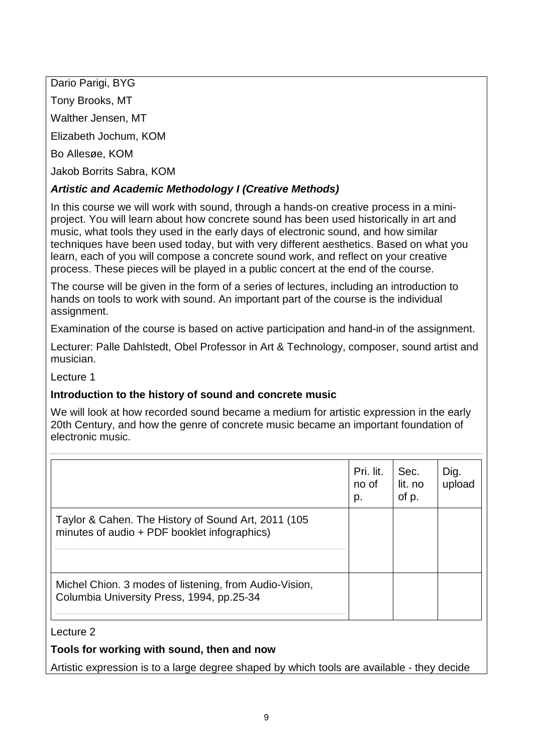Dario Parigi, BYG

Tony Brooks, MT

Walther Jensen, MT

Elizabeth Jochum, KOM

Bo Allesøe, KOM

Jakob Borrits Sabra, KOM

## *Artistic and Academic Methodology I (Creative Methods)*

In this course we will work with sound, through a hands-on creative process in a miniproject. You will learn about how concrete sound has been used historically in art and music, what tools they used in the early days of electronic sound, and how similar techniques have been used today, but with very different aesthetics. Based on what you learn, each of you will compose a concrete sound work, and reflect on your creative process. These pieces will be played in a public concert at the end of the course.

The course will be given in the form of a series of lectures, including an introduction to hands on tools to work with sound. An important part of the course is the individual assignment.

Examination of the course is based on active participation and hand-in of the assignment.

Lecturer: Palle Dahlstedt, Obel Professor in Art & Technology, composer, sound artist and musician.

## Lecture 1

## **Introduction to the history of sound and concrete music**

We will look at how recorded sound became a medium for artistic expression in the early 20th Century, and how the genre of concrete music became an important foundation of electronic music.

|                                                                                                     | Pri. lit.<br>no of<br>p. | Sec.<br>lit. no<br>of p. | Dig.<br>upload |
|-----------------------------------------------------------------------------------------------------|--------------------------|--------------------------|----------------|
| Taylor & Cahen. The History of Sound Art, 2011 (105<br>minutes of audio + PDF booklet infographics) |                          |                          |                |
| Michel Chion. 3 modes of listening, from Audio-Vision,<br>Columbia University Press, 1994, pp.25-34 |                          |                          |                |

## Lecture 2

## **Tools for working with sound, then and now**

Artistic expression is to a large degree shaped by which tools are available - they decide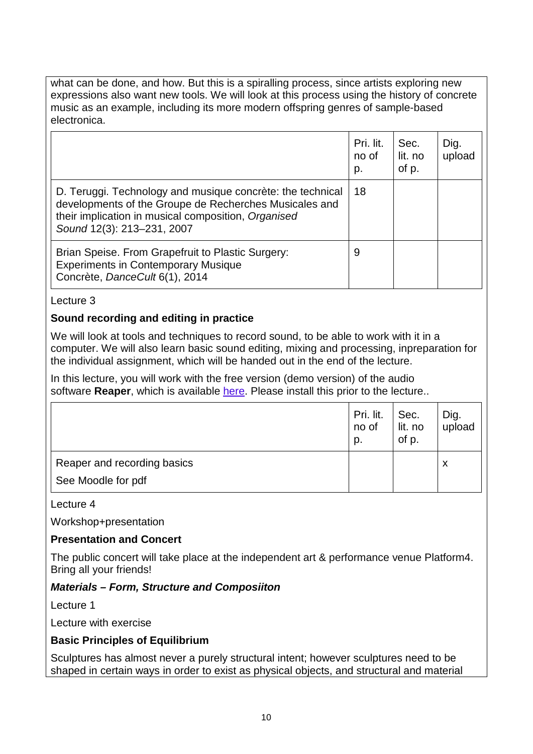what can be done, and how. But this is a spiralling process, since artists exploring new expressions also want new tools. We will look at this process using the history of concrete music as an example, including its more modern offspring genres of sample-based electronica.

|                                                                                                                                                                                                           | Pri. lit.<br>no of<br>p. | Sec.<br>lit. no<br>of p. | Dig.<br>upload |
|-----------------------------------------------------------------------------------------------------------------------------------------------------------------------------------------------------------|--------------------------|--------------------------|----------------|
| D. Teruggi. Technology and musique concrète: the technical<br>developments of the Groupe de Recherches Musicales and<br>their implication in musical composition, Organised<br>Sound 12(3): 213-231, 2007 | 18                       |                          |                |
| Brian Speise. From Grapefruit to Plastic Surgery:<br><b>Experiments in Contemporary Musique</b><br>Concrète, DanceCult 6(1), 2014                                                                         | 9                        |                          |                |

#### Lecture 3

### **Sound recording and editing in practice**

We will look at tools and techniques to record sound, to be able to work with it in a computer. We will also learn basic sound editing, mixing and processing, inpreparation for the individual assignment, which will be handed out in the end of the lecture.

In this lecture, you will work with the free version (demo version) of the audio software **Reaper**, which is available [here.](https://www.reaper.fm/) Please install this prior to the lecture..

|                             | Pri. lit.<br>no of<br>p. | Sec.<br>lit. no<br>of p. | Dig.<br>upload |
|-----------------------------|--------------------------|--------------------------|----------------|
| Reaper and recording basics |                          |                          | X              |
| See Moodle for pdf          |                          |                          |                |

#### Lecture 4

Workshop+presentation

#### **Presentation and Concert**

The public concert will take place at the independent art & performance venue Platform4. Bring all your friends!

#### *Materials – Form, Structure and Composiiton*

Lecture 1

Lecture with exercise

#### **Basic Principles of Equilibrium**

Sculptures has almost never a purely structural intent; however sculptures need to be shaped in certain ways in order to exist as physical objects, and structural and material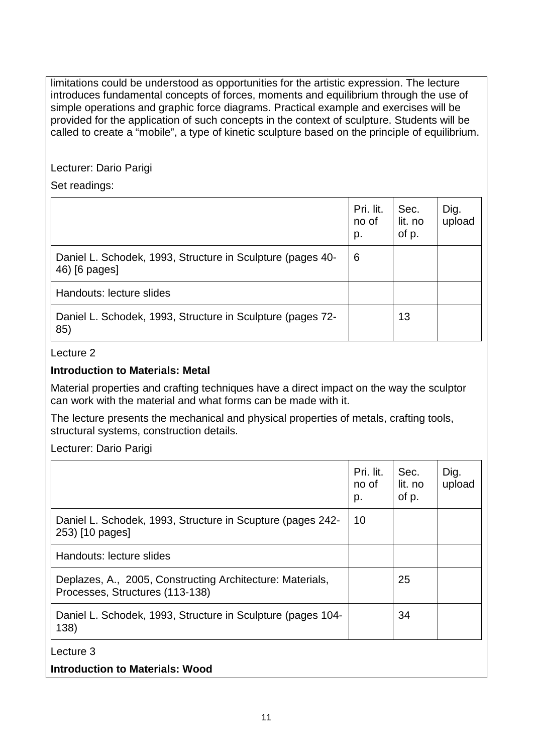limitations could be understood as opportunities for the artistic expression. The lecture introduces fundamental concepts of forces, moments and equilibrium through the use of simple operations and graphic force diagrams. Practical example and exercises will be provided for the application of such concepts in the context of sculpture. Students will be called to create a "mobile", a type of kinetic sculpture based on the principle of equilibrium.

Lecturer: Dario Parigi

Set readings:

|                                                                             | Pri. lit.<br>no of<br>p. | Sec.<br>lit. no<br>of p. | Dig.<br>upload |
|-----------------------------------------------------------------------------|--------------------------|--------------------------|----------------|
| Daniel L. Schodek, 1993, Structure in Sculpture (pages 40-<br>46) [6 pages] | 6                        |                          |                |
| Handouts: lecture slides                                                    |                          |                          |                |
| Daniel L. Schodek, 1993, Structure in Sculpture (pages 72-<br>85)           |                          | 13                       |                |

Lecture 2

## **Introduction to Materials: Metal**

Material properties and crafting techniques have a direct impact on the way the sculptor can work with the material and what forms can be made with it.

The lecture presents the mechanical and physical properties of metals, crafting tools, structural systems, construction details.

Lecturer: Dario Parigi

|                                                                                              | Pri. lit.<br>no of<br>p. | Sec.<br>lit. no<br>of p. | Dig.<br>upload |
|----------------------------------------------------------------------------------------------|--------------------------|--------------------------|----------------|
| Daniel L. Schodek, 1993, Structure in Scupture (pages 242-<br>253) [10 pages]                | 10                       |                          |                |
| Handouts: lecture slides                                                                     |                          |                          |                |
| Deplazes, A., 2005, Constructing Architecture: Materials,<br>Processes, Structures (113-138) |                          | 25                       |                |
| Daniel L. Schodek, 1993, Structure in Sculpture (pages 104-<br>138)                          |                          | 34                       |                |
| Lecture 3                                                                                    |                          |                          |                |
| <b>Introduction to Materials: Wood</b>                                                       |                          |                          |                |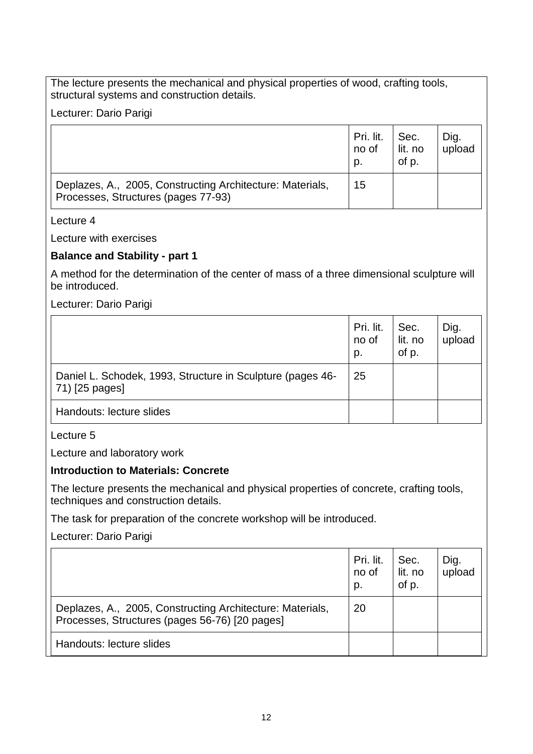The lecture presents the mechanical and physical properties of wood, crafting tools, structural systems and construction details.

Lecturer: Dario Parigi

|                                                                                                  | Pri. lit.<br>no of<br>D. | Sec.<br>lit. no<br>of p. | Dig.<br>upload |
|--------------------------------------------------------------------------------------------------|--------------------------|--------------------------|----------------|
| Deplazes, A., 2005, Constructing Architecture: Materials,<br>Processes, Structures (pages 77-93) | 15                       |                          |                |

#### Lecture 4

Lecture with exercises

### **Balance and Stability - part 1**

A method for the determination of the center of mass of a three dimensional sculpture will be introduced.

Lecturer: Dario Parigi

|                                                                              | Pri. lit.<br>no of<br>p. | Sec.<br>lit. no<br>of p. | Dig.<br>upload |
|------------------------------------------------------------------------------|--------------------------|--------------------------|----------------|
| Daniel L. Schodek, 1993, Structure in Sculpture (pages 46-<br>71) [25 pages] | 25                       |                          |                |
| Handouts: lecture slides                                                     |                          |                          |                |

Lecture 5

Lecture and laboratory work

#### **Introduction to Materials: Concrete**

The lecture presents the mechanical and physical properties of concrete, crafting tools, techniques and construction details.

The task for preparation of the concrete workshop will be introduced.

Lecturer: Dario Parigi

|                                                                                                             | Pri. lit.<br>no of<br>p. | Sec.<br>lit. no<br>of p. | Dig.<br>upload |
|-------------------------------------------------------------------------------------------------------------|--------------------------|--------------------------|----------------|
| Deplazes, A., 2005, Constructing Architecture: Materials,<br>Processes, Structures (pages 56-76) [20 pages] | 20                       |                          |                |
| Handouts: lecture slides                                                                                    |                          |                          |                |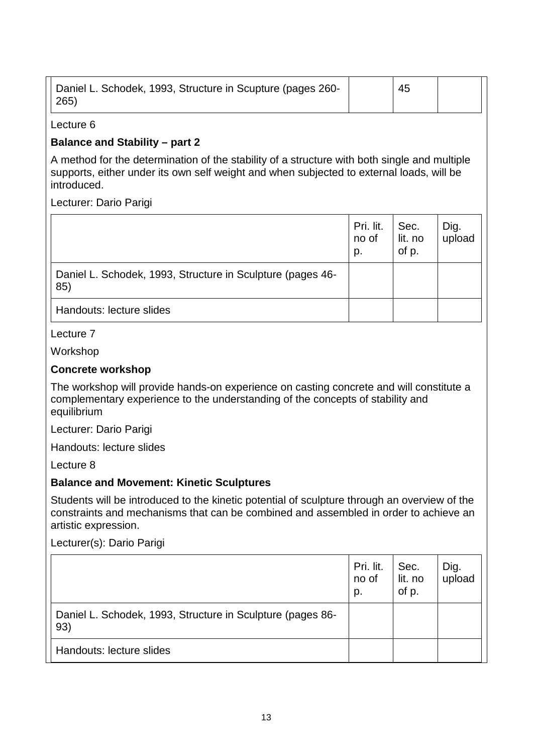| Daniel L. Schodek, 1993, Structure in Scupture (pages 260- | 45 |  |
|------------------------------------------------------------|----|--|
| 265)                                                       |    |  |

#### Lecture 6

### **Balance and Stability – part 2**

A method for the determination of the stability of a structure with both single and multiple supports, either under its own self weight and when subjected to external loads, will be introduced.

Lecturer: Dario Parigi

|                                                                   | Pri. lit.<br>no of<br>p. | Sec.<br>lit. no<br>of p. | Dig.<br>upload |
|-------------------------------------------------------------------|--------------------------|--------------------------|----------------|
| Daniel L. Schodek, 1993, Structure in Sculpture (pages 46-<br>85) |                          |                          |                |
| Handouts: lecture slides                                          |                          |                          |                |

Lecture 7

Workshop

### **Concrete workshop**

The workshop will provide hands-on experience on casting concrete and will constitute a complementary experience to the understanding of the concepts of stability and equilibrium

Lecturer: Dario Parigi

Handouts: lecture slides

Lecture 8

#### **Balance and Movement: Kinetic Sculptures**

Students will be introduced to the kinetic potential of sculpture through an overview of the constraints and mechanisms that can be combined and assembled in order to achieve an artistic expression.

Lecturer(s): Dario Parigi

|                                                                   | Pri. lit.<br>no of<br>p. | Sec.<br>lit. no<br>of p. | Dig.<br>upload |
|-------------------------------------------------------------------|--------------------------|--------------------------|----------------|
| Daniel L. Schodek, 1993, Structure in Sculpture (pages 86-<br>93) |                          |                          |                |
| Handouts: lecture slides                                          |                          |                          |                |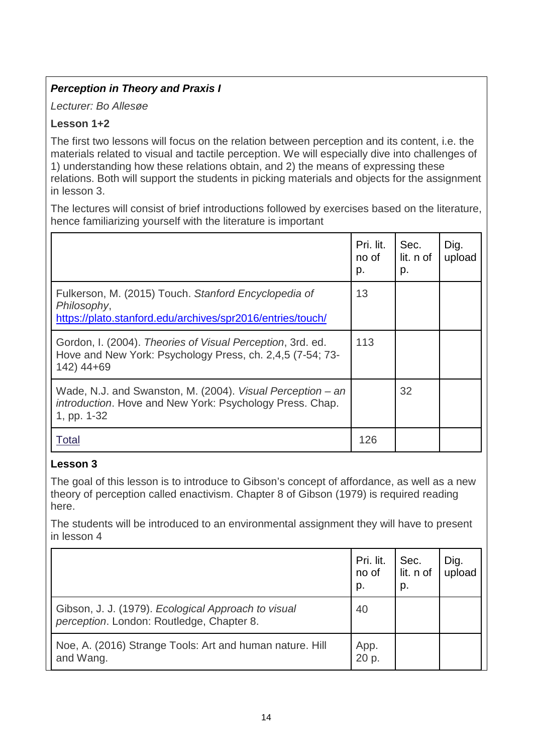## *Perception in Theory and Praxis I*

*Lecturer: Bo Allesøe*

## **Lesson 1+2**

The first two lessons will focus on the relation between perception and its content, i.e. the materials related to visual and tactile perception. We will especially dive into challenges of 1) understanding how these relations obtain, and 2) the means of expressing these relations. Both will support the students in picking materials and objects for the assignment in lesson 3.

The lectures will consist of brief introductions followed by exercises based on the literature, hence familiarizing yourself with the literature is important

|                                                                                                                                       | Pri. lit.<br>no of<br>p. | Sec.<br>lit. n of<br>p. | Dig.<br>upload |
|---------------------------------------------------------------------------------------------------------------------------------------|--------------------------|-------------------------|----------------|
| Fulkerson, M. (2015) Touch. Stanford Encyclopedia of<br>Philosophy,<br>https://plato.stanford.edu/archives/spr2016/entries/touch/     | 13                       |                         |                |
| Gordon, I. (2004). Theories of Visual Perception, 3rd. ed.<br>Hove and New York: Psychology Press, ch. 2,4,5 (7-54; 73-<br>142) 44+69 | 113                      |                         |                |
| Wade, N.J. and Swanston, M. (2004). Visual Perception – an<br>introduction. Hove and New York: Psychology Press. Chap.<br>1, pp. 1-32 |                          | 32                      |                |
| Total                                                                                                                                 | 126                      |                         |                |

## **Lesson 3**

The goal of this lesson is to introduce to Gibson's concept of affordance, as well as a new theory of perception called enactivism. Chapter 8 of Gibson (1979) is required reading here.

The students will be introduced to an environmental assignment they will have to present in lesson 4

|                                                                                                  | Pri. lit.<br>no of<br>p. | Sec.<br>lit. n of<br>p. | Dig.<br>upload |
|--------------------------------------------------------------------------------------------------|--------------------------|-------------------------|----------------|
| Gibson, J. J. (1979). Ecological Approach to visual<br>perception. London: Routledge, Chapter 8. | 40                       |                         |                |
| Noe, A. (2016) Strange Tools: Art and human nature. Hill<br>and Wang.                            | App.<br>20 p.            |                         |                |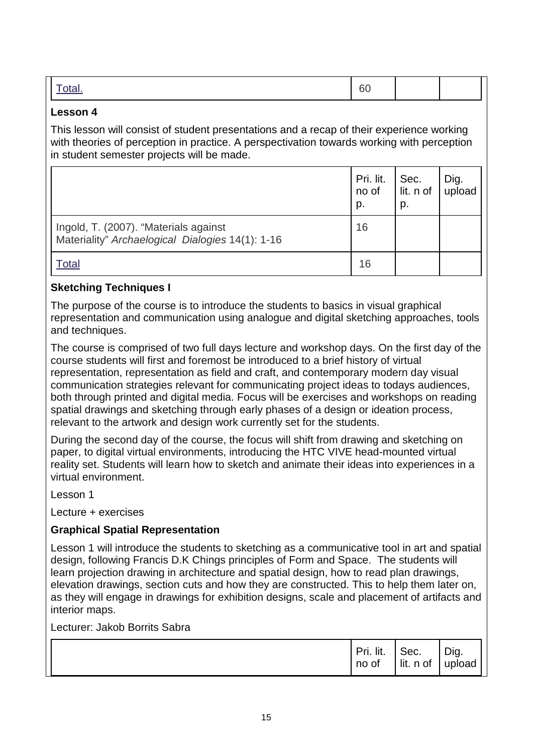|--|--|--|--|--|

#### **Lesson 4**

This lesson will consist of student presentations and a recap of their experience working with theories of perception in practice. A perspectivation towards working with perception in student semester projects will be made.

|                                                                                           | Pri. lit.<br>no of<br>p. | Sec.<br>lit. n of upload<br>p. | Dig. |
|-------------------------------------------------------------------------------------------|--------------------------|--------------------------------|------|
| Ingold, T. (2007). "Materials against<br>Materiality" Archaelogical Dialogies 14(1): 1-16 | 16                       |                                |      |
| Total                                                                                     | 16                       |                                |      |

## **Sketching Techniques I**

The purpose of the course is to introduce the students to basics in visual graphical representation and communication using analogue and digital sketching approaches, tools and techniques.

The course is comprised of two full days lecture and workshop days. On the first day of the course students will first and foremost be introduced to a brief history of virtual representation, representation as field and craft, and contemporary modern day visual communication strategies relevant for communicating project ideas to todays audiences, both through printed and digital media. Focus will be exercises and workshops on reading spatial drawings and sketching through early phases of a design or ideation process, relevant to the artwork and design work currently set for the students.

During the second day of the course, the focus will shift from drawing and sketching on paper, to digital virtual environments, introducing the HTC VIVE head-mounted virtual reality set. Students will learn how to sketch and animate their ideas into experiences in a virtual environment.

Lesson 1

Lecture + exercises

## **Graphical Spatial Representation**

Lesson 1 will introduce the students to sketching as a communicative tool in art and spatial design, following Francis D.K Chings principles of Form and Space. The students will learn projection drawing in architecture and spatial design, how to read plan drawings, elevation drawings, section cuts and how they are constructed. This to help them later on, as they will engage in drawings for exhibition designs, scale and placement of artifacts and interior maps.

## Lecturer: Jakob Borrits Sabra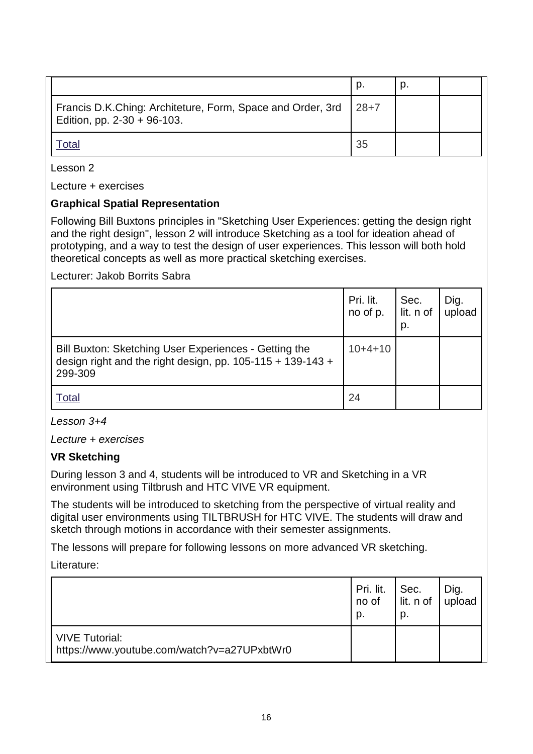|                                                                                              |        | p. |  |
|----------------------------------------------------------------------------------------------|--------|----|--|
| Francis D.K.Ching: Architeture, Form, Space and Order, 3rd<br>Edition, pp. $2-30 + 96-103$ . | $28+7$ |    |  |
|                                                                                              | 35     |    |  |

Lesson 2

Lecture + exercises

### **Graphical Spatial Representation**

Following Bill Buxtons principles in "Sketching User Experiences: getting the design right and the right design", lesson 2 will introduce Sketching as a tool for ideation ahead of prototyping, and a way to test the design of user experiences. This lesson will both hold theoretical concepts as well as more practical sketching exercises.

Lecturer: Jakob Borrits Sabra

|                                                                                                                                  | Pri. lit.<br>no of p. | Sec.<br>lit. n of<br>p. | Dig.<br>upload |
|----------------------------------------------------------------------------------------------------------------------------------|-----------------------|-------------------------|----------------|
| Bill Buxton: Sketching User Experiences - Getting the<br>design right and the right design, pp. $105-115 + 139-143 +$<br>299-309 | $10+4+10$             |                         |                |
| Total                                                                                                                            | 24                    |                         |                |

#### *Lesson 3+4*

*Lecture + exercises*

#### **VR Sketching**

During lesson 3 and 4, students will be introduced to VR and Sketching in a VR environment using Tiltbrush and HTC VIVE VR equipment.

The students will be introduced to sketching from the perspective of virtual reality and digital user environments using TILTBRUSH for HTC VIVE. The students will draw and sketch through motions in accordance with their semester assignments.

The lessons will prepare for following lessons on more advanced VR sketching.

Literature:

|                                                                      | Pri. lit.<br>no of<br>p. | Sec.<br>lit. n of<br>p. | Dig.<br>upload |
|----------------------------------------------------------------------|--------------------------|-------------------------|----------------|
| <b>VIVE Tutorial:</b><br>https://www.youtube.com/watch?v=a27UPxbtWr0 |                          |                         |                |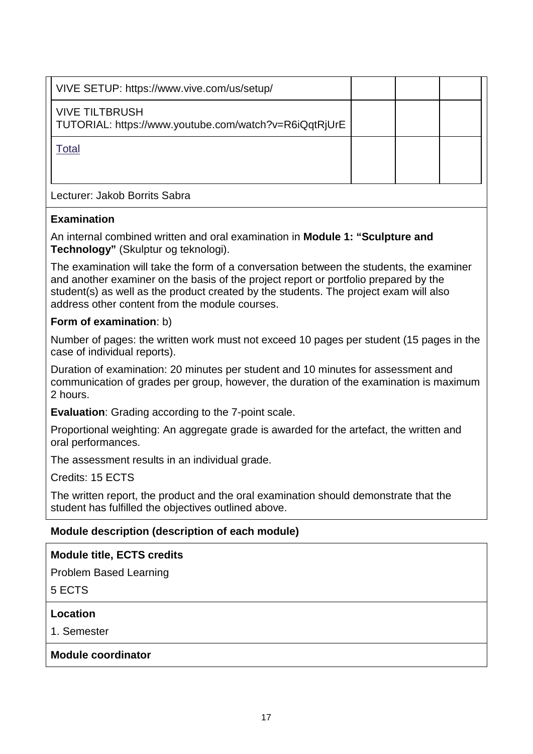| VIVE SETUP: https://www.vive.com/us/setup/                                     |  |  |
|--------------------------------------------------------------------------------|--|--|
|                                                                                |  |  |
| <b>VIVE TILTBRUSH</b><br>TUTORIAL: https://www.youtube.com/watch?v=R6iQqtRjUrE |  |  |
| Total                                                                          |  |  |
| Lecturer: Jakob Borrits Sabra                                                  |  |  |

### **Examination**

An internal combined written and oral examination in **Module 1: "Sculpture and Technology"** (Skulptur og teknologi).

The examination will take the form of a conversation between the students, the examiner and another examiner on the basis of the project report or portfolio prepared by the student(s) as well as the product created by the students. The project exam will also address other content from the module courses.

### **Form of examination**: b)

Number of pages: the written work must not exceed 10 pages per student (15 pages in the case of individual reports).

Duration of examination: 20 minutes per student and 10 minutes for assessment and communication of grades per group, however, the duration of the examination is maximum 2 hours.

**Evaluation**: Grading according to the 7-point scale.

Proportional weighting: An aggregate grade is awarded for the artefact, the written and oral performances.

The assessment results in an individual grade.

Credits: 15 ECTS

The written report, the product and the oral examination should demonstrate that the student has fulfilled the objectives outlined above.

## **Module description (description of each module)**

#### **Module title, ECTS credits**

Problem Based Learning

5 ECTS

#### **Location**

1. Semester

#### **Module coordinator**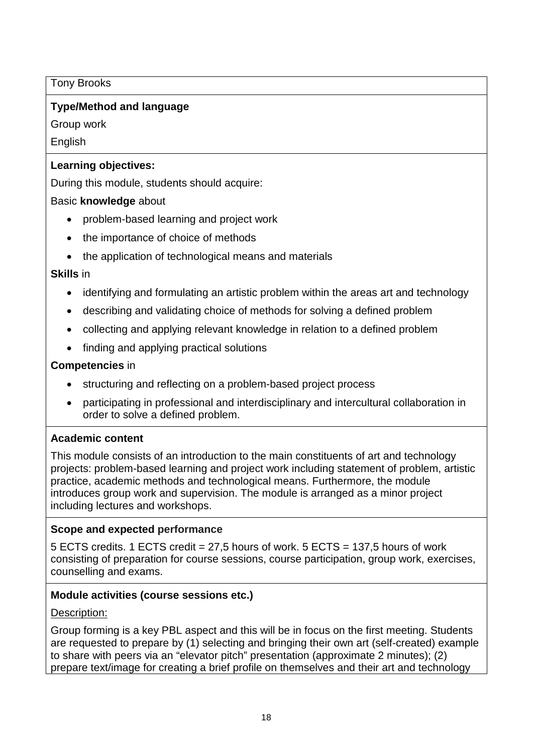Tony Brooks

## **Type/Method and language**

Group work

English

## **Learning objectives:**

During this module, students should acquire:

## Basic **knowledge** about

- problem-based learning and project work
- the importance of choice of methods
- the application of technological means and materials

## **Skills** in

- identifying and formulating an artistic problem within the areas art and technology
- describing and validating choice of methods for solving a defined problem
- collecting and applying relevant knowledge in relation to a defined problem
- finding and applying practical solutions

## **Competencies** in

- structuring and reflecting on a problem-based project process
- participating in professional and interdisciplinary and intercultural collaboration in order to solve a defined problem.

## **Academic content**

This module consists of an introduction to the main constituents of art and technology projects: problem-based learning and project work including statement of problem, artistic practice, academic methods and technological means. Furthermore, the module introduces group work and supervision. The module is arranged as a minor project including lectures and workshops.

## **Scope and expected performance**

5 ECTS credits. 1 ECTS credit = 27,5 hours of work. 5 ECTS = 137,5 hours of work consisting of preparation for course sessions, course participation, group work, exercises, counselling and exams.

## **Module activities (course sessions etc.)**

## Description:

Group forming is a key PBL aspect and this will be in focus on the first meeting. Students are requested to prepare by (1) selecting and bringing their own art (self-created) example to share with peers via an "elevator pitch" presentation (approximate 2 minutes); (2) prepare text/image for creating a brief profile on themselves and their art and technology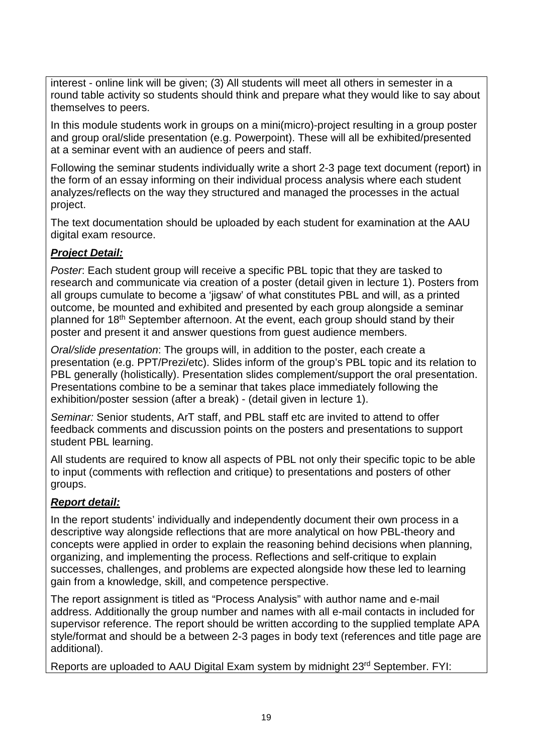interest - online link will be given; (3) All students will meet all others in semester in a round table activity so students should think and prepare what they would like to say about themselves to peers.

In this module students work in groups on a mini(micro)-project resulting in a group poster and group oral/slide presentation (e.g. Powerpoint). These will all be exhibited/presented at a seminar event with an audience of peers and staff.

Following the seminar students individually write a short 2-3 page text document (report) in the form of an essay informing on their individual process analysis where each student analyzes/reflects on the way they structured and managed the processes in the actual project.

The text documentation should be uploaded by each student for examination at the AAU digital exam resource.

## *Project Detail:*

*Poster*: Each student group will receive a specific PBL topic that they are tasked to research and communicate via creation of a poster (detail given in lecture 1). Posters from all groups cumulate to become a 'jigsaw' of what constitutes PBL and will, as a printed outcome, be mounted and exhibited and presented by each group alongside a seminar planned for 18th September afternoon. At the event, each group should stand by their poster and present it and answer questions from guest audience members.

*Oral/slide presentation*: The groups will, in addition to the poster, each create a presentation (e.g. PPT/Prezi/etc). Slides inform of the group's PBL topic and its relation to PBL generally (holistically). Presentation slides complement/support the oral presentation. Presentations combine to be a seminar that takes place immediately following the exhibition/poster session (after a break) - (detail given in lecture 1).

*Seminar:* Senior students, ArT staff, and PBL staff etc are invited to attend to offer feedback comments and discussion points on the posters and presentations to support student PBL learning.

All students are required to know all aspects of PBL not only their specific topic to be able to input (comments with reflection and critique) to presentations and posters of other groups.

## *Report detail:*

In the report students' individually and independently document their own process in a descriptive way alongside reflections that are more analytical on how PBL-theory and concepts were applied in order to explain the reasoning behind decisions when planning, organizing, and implementing the process. Reflections and self-critique to explain successes, challenges, and problems are expected alongside how these led to learning gain from a knowledge, skill, and competence perspective.

The report assignment is titled as "Process Analysis" with author name and e-mail address. Additionally the group number and names with all e-mail contacts in included for supervisor reference. The report should be written according to the supplied template APA style/format and should be a between 2-3 pages in body text (references and title page are additional).

Reports are uploaded to AAU Digital Exam system by midnight 23rd September. FYI: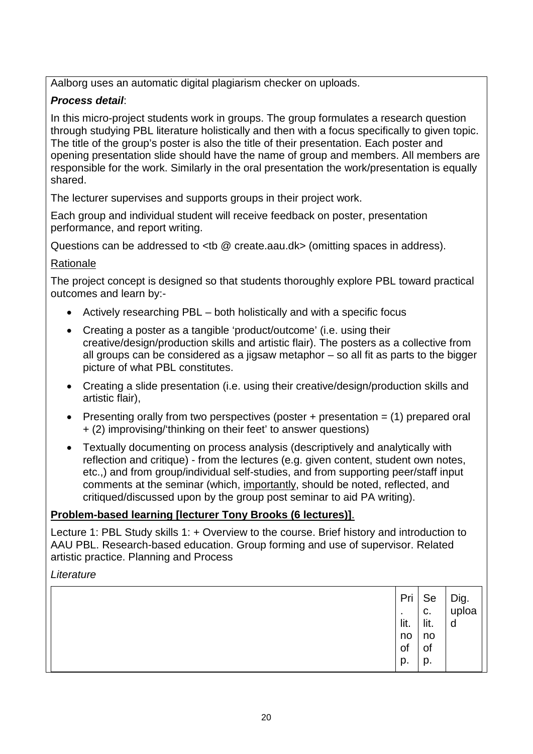Aalborg uses an automatic digital plagiarism checker on uploads.

## *Process detail*:

In this micro-project students work in groups. The group formulates a research question through studying PBL literature holistically and then with a focus specifically to given topic. The title of the group's poster is also the title of their presentation. Each poster and opening presentation slide should have the name of group and members. All members are responsible for the work. Similarly in the oral presentation the work/presentation is equally shared.

The lecturer supervises and supports groups in their project work.

Each group and individual student will receive feedback on poster, presentation performance, and report writing.

Questions can be addressed to <tb @ create.aau.dk> (omitting spaces in address).

## Rationale

The project concept is designed so that students thoroughly explore PBL toward practical outcomes and learn by:-

- Actively researching PBL both holistically and with a specific focus
- Creating a poster as a tangible 'product/outcome' (i.e. using their creative/design/production skills and artistic flair). The posters as a collective from all groups can be considered as a jigsaw metaphor – so all fit as parts to the bigger picture of what PBL constitutes.
- Creating a slide presentation (i.e. using their creative/design/production skills and artistic flair),
- Presenting orally from two perspectives (poster  $+$  presentation  $=$  (1) prepared oral + (2) improvising/'thinking on their feet' to answer questions)
- Textually documenting on process analysis (descriptively and analytically with reflection and critique) - from the lectures (e.g. given content, student own notes, etc.,) and from group/individual self-studies, and from supporting peer/staff input comments at the seminar (which, importantly, should be noted, reflected, and critiqued/discussed upon by the group post seminar to aid PA writing).

## **Problem-based learning [lecturer Tony Brooks (6 lectures)]**.

Lecture 1: PBL Study skills 1: + Overview to the course. Brief history and introduction to AAU PBL. Research-based education. Group forming and use of supervisor. Related artistic practice. Planning and Process

*Literature*

|  | $\sim$<br>lit.<br>no<br>of<br>p. | ∣ Pri   Se<br>C.<br>lit.<br>no<br>of<br>p. | Dig.<br>uploa<br>d |
|--|----------------------------------|--------------------------------------------|--------------------|
|--|----------------------------------|--------------------------------------------|--------------------|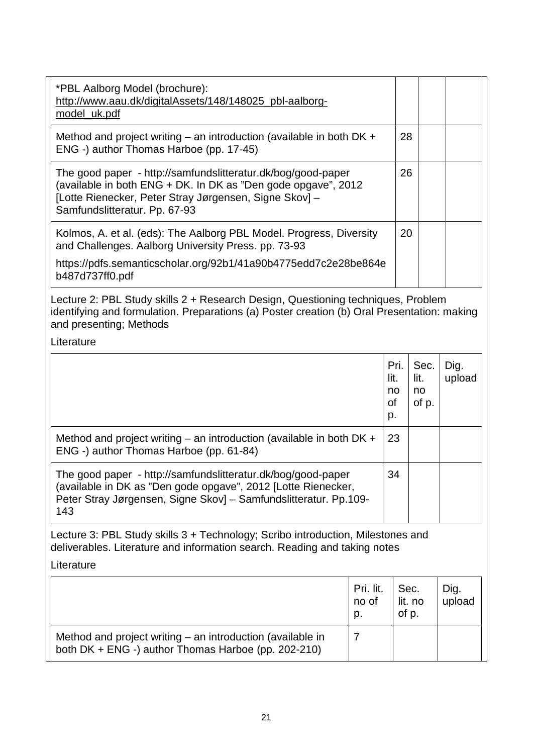| *PBL Aalborg Model (brochure):<br>http://www.aau.dk/digitalAssets/148/148025_pbl-aalborg-<br>model_uk.pdf                                                                                                                |                          |                                |                             |                |
|--------------------------------------------------------------------------------------------------------------------------------------------------------------------------------------------------------------------------|--------------------------|--------------------------------|-----------------------------|----------------|
| Method and project writing $-$ an introduction (available in both DK $+$<br>ENG -) author Thomas Harboe (pp. 17-45)                                                                                                      |                          | 28                             |                             |                |
| The good paper - http://samfundslitteratur.dk/bog/good-paper<br>(available in both ENG + DK. In DK as "Den gode opgave", 2012<br>[Lotte Rienecker, Peter Stray Jørgensen, Signe Skov] -<br>Samfundslitteratur. Pp. 67-93 |                          | 26                             |                             |                |
| Kolmos, A. et al. (eds): The Aalborg PBL Model. Progress, Diversity<br>and Challenges. Aalborg University Press. pp. 73-93<br>https://pdfs.semanticscholar.org/92b1/41a90b4775edd7c2e28be864e<br>b487d737ff0.pdf         |                          | 20                             |                             |                |
| Lecture 2: PBL Study skills 2 + Research Design, Questioning techniques, Problem<br>identifying and formulation. Preparations (a) Poster creation (b) Oral Presentation: making<br>and presenting; Methods<br>Literature |                          |                                |                             |                |
|                                                                                                                                                                                                                          |                          |                                |                             |                |
|                                                                                                                                                                                                                          |                          | Pri.<br>lit.<br>no<br>οf<br>p. | Sec.<br>lit.<br>no<br>of p. | Dig.<br>upload |
| Method and project writing $-$ an introduction (available in both DK $+$<br>ENG -) author Thomas Harboe (pp. 61-84)                                                                                                      |                          | 23                             |                             |                |
| The good paper - http://samfundslitteratur.dk/bog/good-paper<br>(available in DK as "Den gode opgave", 2012 [Lotte Rienecker,<br>Peter Stray Jørgensen, Signe Skov] – Samfundslitteratur. Pp.109-<br>143                 |                          | 34                             |                             |                |
| Lecture 3: PBL Study skills 3 + Technology; Scribo introduction, Milestones and<br>deliverables. Literature and information search. Reading and taking notes<br>Literature                                               |                          |                                |                             |                |
|                                                                                                                                                                                                                          |                          |                                |                             |                |
|                                                                                                                                                                                                                          | Pri. lit.<br>no of<br>p. |                                | Sec.<br>lit. no<br>of p.    | Dig.<br>upload |
| Method and project writing $-$ an introduction (available in<br>both DK + ENG -) author Thomas Harboe (pp. 202-210)                                                                                                      | 7                        |                                |                             |                |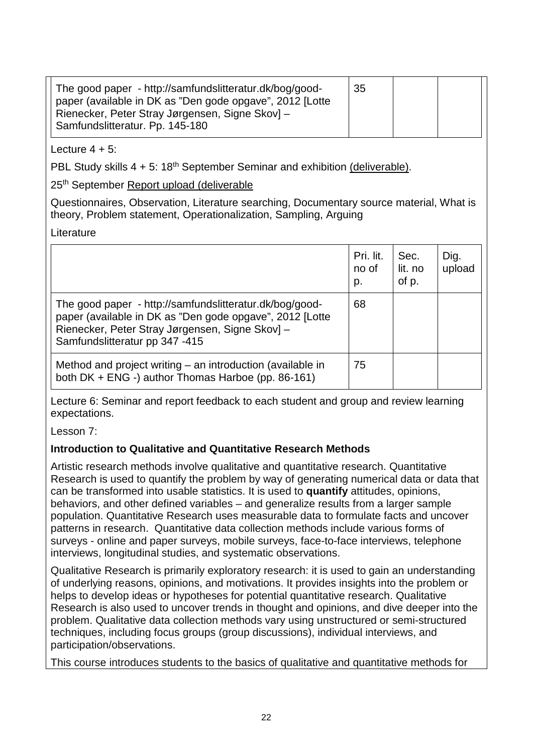#### Lecture  $4 + 5$ :

PBL Study skills  $4 + 5$ :  $18<sup>th</sup>$  September Seminar and exhibition (deliverable).

25th September Report upload (deliverable

Questionnaires, Observation, Literature searching, Documentary source material, What is theory, Problem statement, Operationalization, Sampling, Arguing

## Literature

|                                                                                                                                                                                                          | Pri. lit.<br>no of<br>p. | Sec.<br>lit. no<br>of p. | Dig.<br>upload |
|----------------------------------------------------------------------------------------------------------------------------------------------------------------------------------------------------------|--------------------------|--------------------------|----------------|
| The good paper - http://samfundslitteratur.dk/bog/good-<br>paper (available in DK as "Den gode opgave", 2012 [Lotte<br>Rienecker, Peter Stray Jørgensen, Signe Skov] -<br>Samfundslitteratur pp 347 -415 | 68                       |                          |                |
| Method and project writing $-$ an introduction (available in<br>both DK + ENG -) author Thomas Harboe (pp. 86-161)                                                                                       | 75                       |                          |                |

Lecture 6: Seminar and report feedback to each student and group and review learning expectations.

Lesson 7:

## **Introduction to Qualitative and Quantitative Research Methods**

Artistic research methods involve qualitative and quantitative research. Quantitative Research is used to quantify the problem by way of generating numerical data or data that can be transformed into usable statistics. It is used to **quantify** attitudes, opinions, behaviors, and other defined variables – and generalize results from a larger sample population. Quantitative Research uses measurable data to formulate facts and uncover patterns in research. Quantitative data collection methods include various forms of surveys - online and paper surveys, mobile surveys, face-to-face interviews, telephone interviews, longitudinal studies, and systematic observations.

Qualitative Research is primarily exploratory research: it is used to gain an understanding of underlying reasons, opinions, and motivations. It provides insights into the problem or helps to develop ideas or hypotheses for potential quantitative research. Qualitative Research is also used to uncover trends in thought and opinions, and dive deeper into the problem. Qualitative data collection methods vary using unstructured or semi-structured techniques, including focus groups (group discussions), individual interviews, and participation/observations.

This course introduces students to the basics of qualitative and quantitative methods for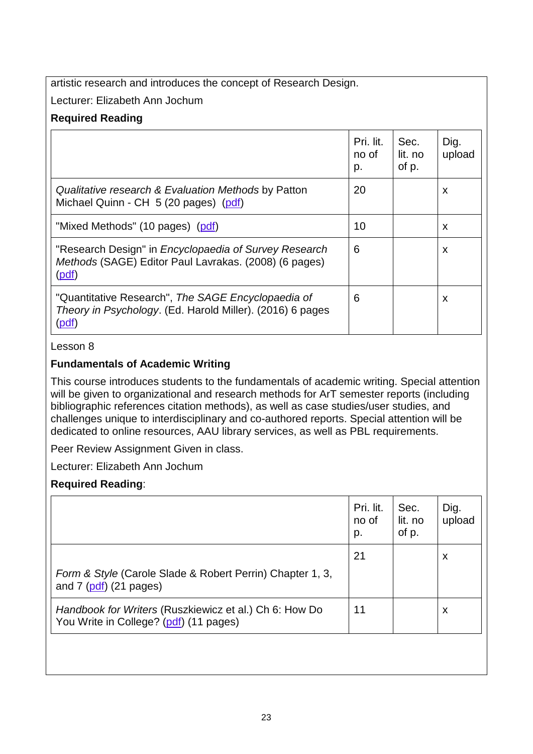artistic research and introduces the concept of Research Design.

Lecturer: Elizabeth Ann Jochum

## **Required Reading**

|                                                                                                                                 | Pri. lit.<br>no of<br>p. | Sec.<br>lit. no<br>of p. | Dig.<br>upload |
|---------------------------------------------------------------------------------------------------------------------------------|--------------------------|--------------------------|----------------|
| Qualitative research & Evaluation Methods by Patton<br>Michael Quinn - CH 5 (20 pages) (pdf)                                    | 20                       |                          | X              |
| "Mixed Methods" (10 pages) (pdf)                                                                                                | 10                       |                          | X              |
| "Research Design" in Encyclopaedia of Survey Research<br>Methods (SAGE) Editor Paul Lavrakas. (2008) (6 pages)<br>(pdf)         | 6                        |                          | X              |
| "Quantitative Research", The SAGE Encyclopaedia of<br>Theory in Psychology. (Ed. Harold Miller). (2016) 6 pages<br><u>(pdf)</u> | 6                        |                          | X              |

Lesson 8

## **Fundamentals of Academic Writing**

This course introduces students to the fundamentals of academic writing. Special attention will be given to organizational and research methods for ArT semester reports (including bibliographic references citation methods), as well as case studies/user studies, and challenges unique to interdisciplinary and co-authored reports. Special attention will be dedicated to online resources, AAU library services, as well as PBL requirements.

Peer Review Assignment Given in class.

Lecturer: Elizabeth Ann Jochum

## **Required Reading**:

|                                                                                                  | Pri. lit.<br>no of<br>p. | Sec.<br>lit. no<br>of p. | Dig.<br>upload |
|--------------------------------------------------------------------------------------------------|--------------------------|--------------------------|----------------|
| Form & Style (Carole Slade & Robert Perrin) Chapter 1, 3,<br>and $7$ ( $pdf$ ) (21 pages)        | 21                       |                          | X              |
| Handbook for Writers (Ruszkiewicz et al.) Ch 6: How Do<br>You Write in College? (pdf) (11 pages) | 11                       |                          | X              |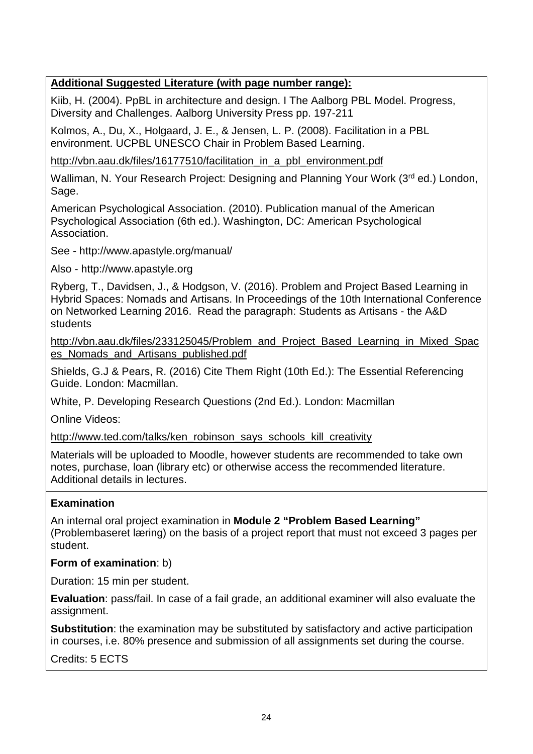## **Additional Suggested Literature (with page number range):**

Kiib, H. (2004). PpBL in architecture and design. I The Aalborg PBL Model. Progress, Diversity and Challenges. Aalborg University Press pp. 197-211

Kolmos, A., Du, X., Holgaard, J. E., & Jensen, L. P. (2008). Facilitation in a PBL environment. UCPBL UNESCO Chair in Problem Based Learning.

[http://vbn.aau.dk/files/16177510/facilitation\\_in\\_a\\_pbl\\_environment.pdf](http://vbn.aau.dk/files/16177510/facilitation_in_a_pbl_environment.pdf)

Walliman, N. Your Research Project: Designing and Planning Your Work (3<sup>rd</sup> ed.) London, Sage.

American Psychological Association. (2010). Publication manual of the American Psychological Association (6th ed.). Washington, DC: American Psychological Association.

See - http://www.apastyle.org/manual/

Also - http://www.apastyle.org

Ryberg, T., Davidsen, J., & Hodgson, V. (2016). Problem and Project Based Learning in Hybrid Spaces: Nomads and Artisans. In Proceedings of the 10th International Conference on Networked Learning 2016. Read the paragraph: Students as Artisans - the A&D students

[http://vbn.aau.dk/files/233125045/Problem\\_and\\_Project\\_Based\\_Learning\\_in\\_Mixed\\_Spac](http://vbn.aau.dk/files/233125045/Problem_and_Project_Based_Learning_in_Mixed_Spaces_Nomads_and_Artisans_published.pdf) [es\\_Nomads\\_and\\_Artisans\\_published.pdf](http://vbn.aau.dk/files/233125045/Problem_and_Project_Based_Learning_in_Mixed_Spaces_Nomads_and_Artisans_published.pdf)

Shields, G.J & Pears, R. (2016) Cite Them Right (10th Ed.): The Essential Referencing Guide. London: Macmillan.

White, P. Developing Research Questions (2nd Ed.). London: Macmillan

Online Videos:

[http://www.ted.com/talks/ken\\_robinson\\_says\\_schools\\_kill\\_creativity](http://www.ted.com/talks/ken_robinson_says_schools_kill_creativity)

Materials will be uploaded to Moodle, however students are recommended to take own notes, purchase, loan (library etc) or otherwise access the recommended literature. Additional details in lectures.

#### **Examination**

An internal oral project examination in **Module 2 "Problem Based Learning"**  (Problembaseret læring) on the basis of a project report that must not exceed 3 pages per student.

#### **Form of examination**: b)

Duration: 15 min per student.

**Evaluation**: pass/fail. In case of a fail grade, an additional examiner will also evaluate the assignment.

**Substitution**: the examination may be substituted by satisfactory and active participation in courses, i.e. 80% presence and submission of all assignments set during the course.

Credits: 5 ECTS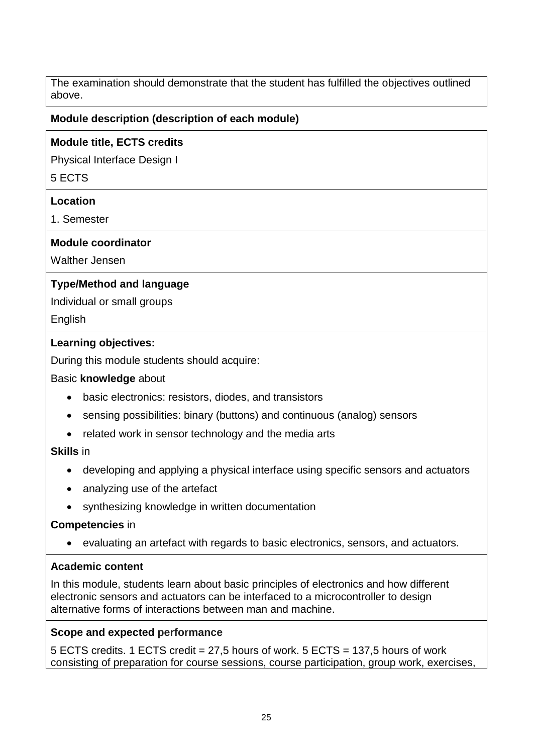The examination should demonstrate that the student has fulfilled the objectives outlined above.

### **Module description (description of each module)**

#### **Module title, ECTS credits**

Physical Interface Design I

5 ECTS

#### **Location**

1. Semester

#### **Module coordinator**

Walther Jensen

### **Type/Method and language**

Individual or small groups

**English** 

### **Learning objectives:**

During this module students should acquire:

#### Basic **knowledge** about

- basic electronics: resistors, diodes, and transistors
- sensing possibilities: binary (buttons) and continuous (analog) sensors
- related work in sensor technology and the media arts

## **Skills** in

- developing and applying a physical interface using specific sensors and actuators
- analyzing use of the artefact
- synthesizing knowledge in written documentation

## **Competencies** in

• evaluating an artefact with regards to basic electronics, sensors, and actuators.

## **Academic content**

In this module, students learn about basic principles of electronics and how different electronic sensors and actuators can be interfaced to a microcontroller to design alternative forms of interactions between man and machine.

#### **Scope and expected performance**

5 ECTS credits. 1 ECTS credit = 27,5 hours of work. 5 ECTS = 137,5 hours of work consisting of preparation for course sessions, course participation, group work, exercises,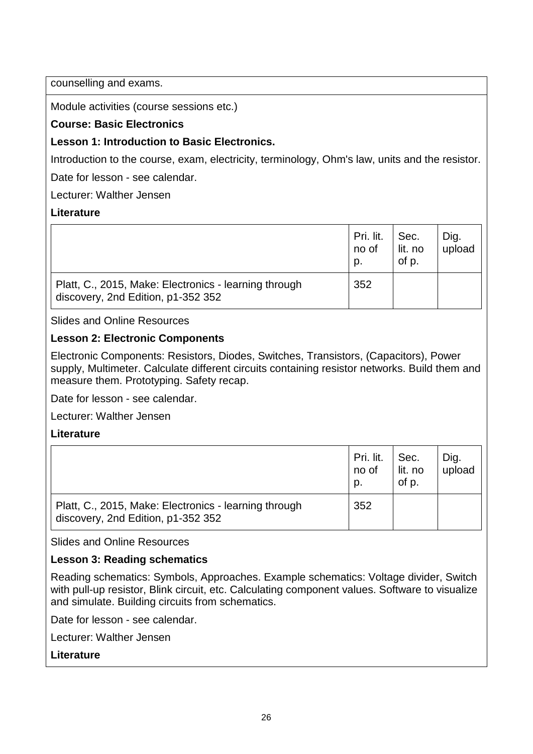counselling and exams.

Module activities (course sessions etc.)

## **Course: Basic Electronics**

## **Lesson 1: Introduction to Basic Electronics.**

Introduction to the course, exam, electricity, terminology, Ohm's law, units and the resistor.

Date for lesson - see calendar.

Lecturer: Walther Jensen

### **Literature**

|                                                                                             | Pri. lit.<br>no of<br>p. | Sec.<br>lit. no<br>of p. | Dig.<br>upload |
|---------------------------------------------------------------------------------------------|--------------------------|--------------------------|----------------|
| Platt, C., 2015, Make: Electronics - learning through<br>discovery, 2nd Edition, p1-352 352 | 352                      |                          |                |

Slides and Online Resources

## **Lesson 2: Electronic Components**

Electronic Components: Resistors, Diodes, Switches, Transistors, (Capacitors), Power supply, Multimeter. Calculate different circuits containing resistor networks. Build them and measure them. Prototyping. Safety recap.

Date for lesson - see calendar.

Lecturer: Walther Jensen

## **Literature**

|                                                                                             | Pri. lit.<br>no of<br>p. | Sec.<br>lit. no<br>of p. | Dig.<br>upload |
|---------------------------------------------------------------------------------------------|--------------------------|--------------------------|----------------|
| Platt, C., 2015, Make: Electronics - learning through<br>discovery, 2nd Edition, p1-352 352 | 352                      |                          |                |

Slides and Online Resources

## **Lesson 3: Reading schematics**

Reading schematics: Symbols, Approaches. Example schematics: Voltage divider, Switch with pull-up resistor, Blink circuit, etc. Calculating component values. Software to visualize and simulate. Building circuits from schematics.

Date for lesson - see calendar.

Lecturer: Walther Jensen

## **Literature**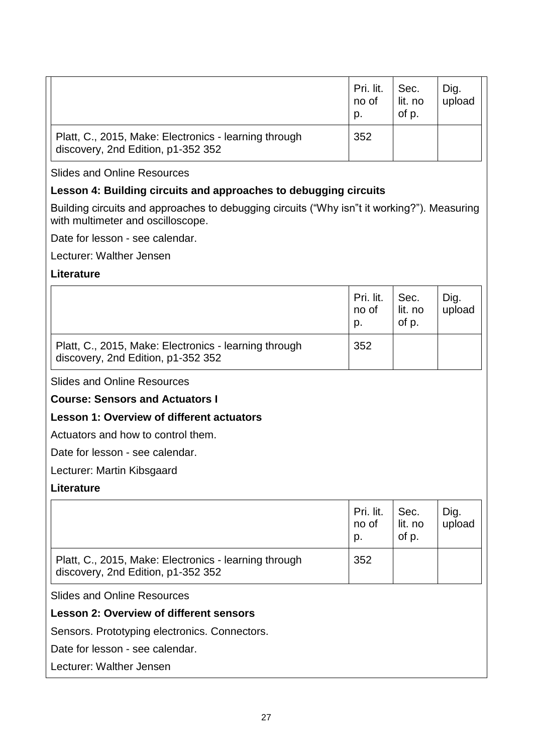|                                                                                             | Pri. lit.<br>no of<br>D. | Sec.<br>lit. no<br>of p. | Dig.<br>upload |
|---------------------------------------------------------------------------------------------|--------------------------|--------------------------|----------------|
| Platt, C., 2015, Make: Electronics - learning through<br>discovery, 2nd Edition, p1-352 352 | 352                      |                          |                |

Slides and Online Resources

## **Lesson 4: Building circuits and approaches to debugging circuits**

Building circuits and approaches to debugging circuits ("Why isn"t it working?"). Measuring with multimeter and oscilloscope.

Date for lesson - see calendar.

Lecturer: Walther Jensen

#### **Literature**

|                                                                                             | Pri. lit.<br>no of<br>p. | Sec.<br>lit. no<br>of p. | Dig.<br>upload |
|---------------------------------------------------------------------------------------------|--------------------------|--------------------------|----------------|
| Platt, C., 2015, Make: Electronics - learning through<br>discovery, 2nd Edition, p1-352 352 | 352                      |                          |                |

Slides and Online Resources

#### **Course: Sensors and Actuators I**

## **Lesson 1: Overview of different actuators**

Actuators and how to control them.

Date for lesson - see calendar.

Lecturer: Martin Kibsgaard

#### **Literature**

|                                                                                             | Pri. lit.<br>no of<br>p. | Sec.<br>lit. no<br>of p. | Dig.<br>upload |
|---------------------------------------------------------------------------------------------|--------------------------|--------------------------|----------------|
| Platt, C., 2015, Make: Electronics - learning through<br>discovery, 2nd Edition, p1-352 352 | 352                      |                          |                |

Slides and Online Resources

**Lesson 2: Overview of different sensors**

Sensors. Prototyping electronics. Connectors.

Date for lesson - see calendar.

Lecturer: Walther Jensen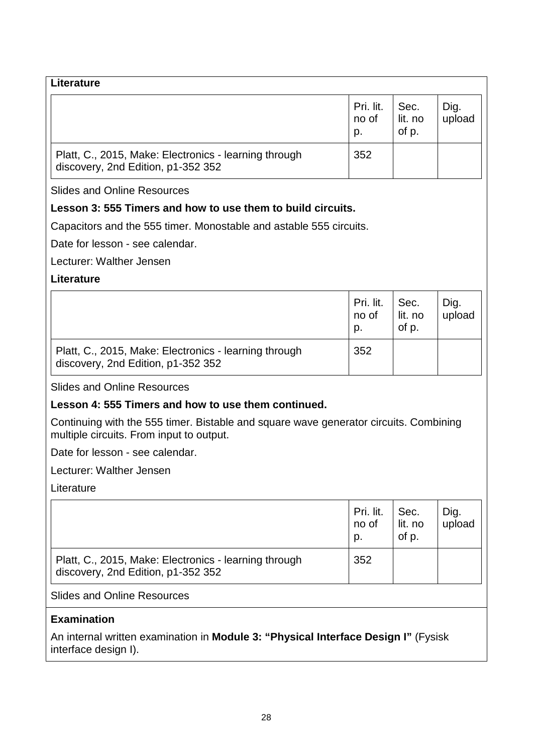| Literature                                                                                  |                          |                          |                |
|---------------------------------------------------------------------------------------------|--------------------------|--------------------------|----------------|
|                                                                                             | Pri. lit.<br>no of<br>p. | Sec.<br>lit. no<br>of p. | Dig.<br>upload |
| Platt, C., 2015, Make: Electronics - learning through<br>discovery, 2nd Edition, p1-352 352 | 352                      |                          |                |

Slides and Online Resources

## **Lesson 3: 555 Timers and how to use them to build circuits.**

Capacitors and the 555 timer. Monostable and astable 555 circuits.

Date for lesson - see calendar.

Lecturer: Walther Jensen

### **Literature**

|                                                                                             | Pri. lit.<br>no of<br>p. | Sec.<br>lit. no<br>of p. | Dig.<br>upload |
|---------------------------------------------------------------------------------------------|--------------------------|--------------------------|----------------|
| Platt, C., 2015, Make: Electronics - learning through<br>discovery, 2nd Edition, p1-352 352 | 352                      |                          |                |

Slides and Online Resources

#### **Lesson 4: 555 Timers and how to use them continued.**

Continuing with the 555 timer. Bistable and square wave generator circuits. Combining multiple circuits. From input to output.

Date for lesson - see calendar.

Lecturer: Walther Jensen

Literature

|                                                                                             | Pri. lit.<br>no of<br>p. | Sec.<br>lit. no<br>of p. | Dig.<br>upload |
|---------------------------------------------------------------------------------------------|--------------------------|--------------------------|----------------|
| Platt, C., 2015, Make: Electronics - learning through<br>discovery, 2nd Edition, p1-352 352 | 352                      |                          |                |

Slides and Online Resources

## **Examination**

An internal written examination in **Module 3: "Physical Interface Design I"** (Fysisk interface design I).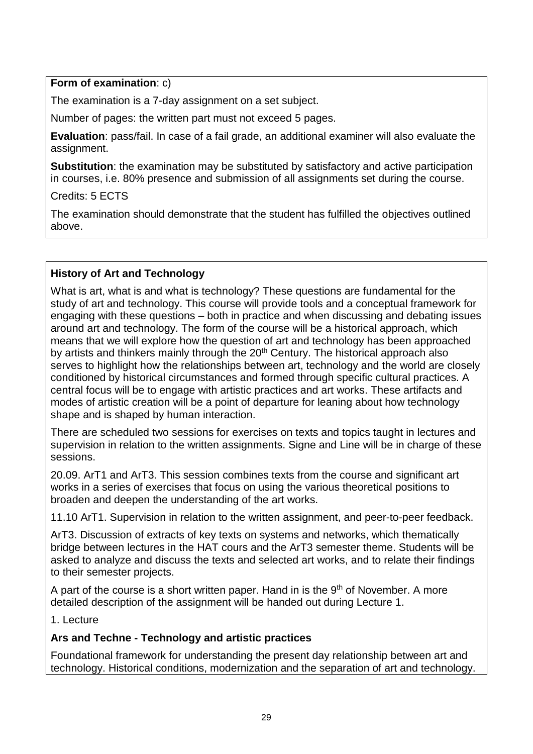## **Form of examination**: c)

The examination is a 7-day assignment on a set subject.

Number of pages: the written part must not exceed 5 pages.

**Evaluation**: pass/fail. In case of a fail grade, an additional examiner will also evaluate the assignment.

**Substitution**: the examination may be substituted by satisfactory and active participation in courses, i.e. 80% presence and submission of all assignments set during the course.

Credits: 5 ECTS

The examination should demonstrate that the student has fulfilled the objectives outlined above.

## **History of Art and Technology**

What is art, what is and what is technology? These questions are fundamental for the study of art and technology. This course will provide tools and a conceptual framework for engaging with these questions – both in practice and when discussing and debating issues around art and technology. The form of the course will be a historical approach, which means that we will explore how the question of art and technology has been approached by artists and thinkers mainly through the 20<sup>th</sup> Century. The historical approach also serves to highlight how the relationships between art, technology and the world are closely conditioned by historical circumstances and formed through specific cultural practices. A central focus will be to engage with artistic practices and art works. These artifacts and modes of artistic creation will be a point of departure for leaning about how technology shape and is shaped by human interaction.

There are scheduled two sessions for exercises on texts and topics taught in lectures and supervision in relation to the written assignments. Signe and Line will be in charge of these sessions.

20.09. ArT1 and ArT3. This session combines texts from the course and significant art works in a series of exercises that focus on using the various theoretical positions to broaden and deepen the understanding of the art works.

11.10 ArT1. Supervision in relation to the written assignment, and peer-to-peer feedback.

ArT3. Discussion of extracts of key texts on systems and networks, which thematically bridge between lectures in the HAT cours and the ArT3 semester theme. Students will be asked to analyze and discuss the texts and selected art works, and to relate their findings to their semester projects.

A part of the course is a short written paper. Hand in is the  $9<sup>th</sup>$  of November. A more detailed description of the assignment will be handed out during Lecture 1.

1. Lecture

## **Ars and Techne - Technology and artistic practices**

Foundational framework for understanding the present day relationship between art and technology. Historical conditions, modernization and the separation of art and technology.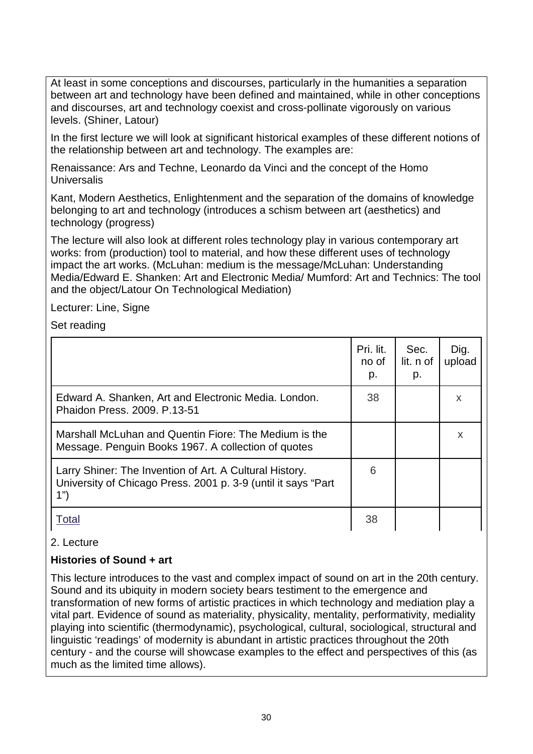At least in some conceptions and discourses, particularly in the humanities a separation between art and technology have been defined and maintained, while in other conceptions and discourses, art and technology coexist and cross-pollinate vigorously on various levels. (Shiner, Latour)

In the first lecture we will look at significant historical examples of these different notions of the relationship between art and technology. The examples are:

Renaissance: Ars and Techne, Leonardo da Vinci and the concept of the Homo **Universalis** 

Kant, Modern Aesthetics, Enlightenment and the separation of the domains of knowledge belonging to art and technology (introduces a schism between art (aesthetics) and technology (progress)

The lecture will also look at different roles technology play in various contemporary art works: from (production) tool to material, and how these different uses of technology impact the art works. (McLuhan: medium is the message/McLuhan: Understanding Media/Edward E. Shanken: Art and Electronic Media/ Mumford: Art and Technics: The tool and the object/Latour On Technological Mediation)

Lecturer: Line, Signe

Set reading

|                                                                                                                                  | Pri. lit.<br>no of<br>p. | Sec.<br>lit. n of<br>p. | Dig.<br>upload |
|----------------------------------------------------------------------------------------------------------------------------------|--------------------------|-------------------------|----------------|
| Edward A. Shanken, Art and Electronic Media. London.<br>Phaidon Press, 2009, P.13-51                                             | 38                       |                         | X              |
| Marshall McLuhan and Quentin Fiore: The Medium is the<br>Message. Penguin Books 1967. A collection of quotes                     |                          |                         | X              |
| Larry Shiner: The Invention of Art. A Cultural History.<br>University of Chicago Press. 2001 p. 3-9 (until it says "Part"<br>1") | 6                        |                         |                |
| <b>Total</b>                                                                                                                     | 38                       |                         |                |

## 2. Lecture

## **Histories of Sound + art**

This lecture introduces to the vast and complex impact of sound on art in the 20th century. Sound and its ubiquity in modern society bears testiment to the emergence and transformation of new forms of artistic practices in which technology and mediation play a vital part. Evidence of sound as materiality, physicality, mentality, performativity, mediality playing into scientific (thermodynamic), psychological, cultural, sociological, structural and linguistic 'readings' of modernity is abundant in artistic practices throughout the 20th century - and the course will showcase examples to the effect and perspectives of this (as much as the limited time allows).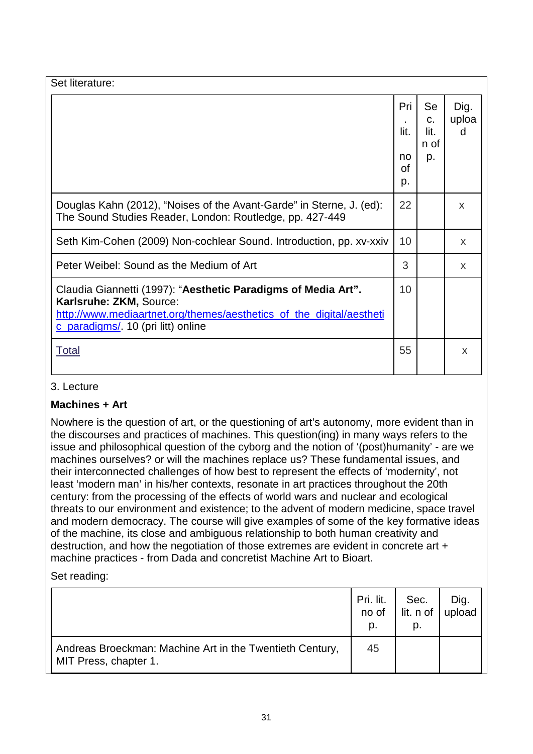| Set literature:                                                                                                                                                                                        |                               |                                                |                    |
|--------------------------------------------------------------------------------------------------------------------------------------------------------------------------------------------------------|-------------------------------|------------------------------------------------|--------------------|
|                                                                                                                                                                                                        | Pri<br>lit.<br>no<br>Ωf<br>p. | <b>Se</b><br>$C_{\cdot}$<br>lit.<br>n of<br>p. | Dig.<br>uploa<br>d |
| Douglas Kahn (2012), "Noises of the Avant-Garde" in Sterne, J. (ed):<br>The Sound Studies Reader, London: Routledge, pp. 427-449                                                                       | 22                            |                                                | $\mathsf{x}$       |
| Seth Kim-Cohen (2009) Non-cochlear Sound. Introduction, pp. xv-xxiv                                                                                                                                    | 10 <sup>°</sup>               |                                                | X                  |
| Peter Weibel: Sound as the Medium of Art                                                                                                                                                               | 3                             |                                                | X                  |
| Claudia Giannetti (1997): "Aesthetic Paradigms of Media Art".<br>Karlsruhe: ZKM, Source:<br>http://www.mediaartnet.org/themes/aesthetics_of_the_digital/aestheti<br>c_paradigms/. 10 (pri litt) online | 10 <sup>°</sup>               |                                                |                    |
| <u>Total</u>                                                                                                                                                                                           | 55                            |                                                | X                  |

## 3. Lecture

## **Machines + Art**

Nowhere is the question of art, or the questioning of art's autonomy, more evident than in the discourses and practices of machines. This question(ing) in many ways refers to the issue and philosophical question of the cyborg and the notion of '(post)humanity' - are we machines ourselves? or will the machines replace us? These fundamental issues, and their interconnected challenges of how best to represent the effects of 'modernity', not least 'modern man' in his/her contexts, resonate in art practices throughout the 20th century: from the processing of the effects of world wars and nuclear and ecological threats to our environment and existence; to the advent of modern medicine, space travel and modern democracy. The course will give examples of some of the key formative ideas of the machine, its close and ambiguous relationship to both human creativity and destruction, and how the negotiation of those extremes are evident in concrete art + machine practices - from Dada and concretist Machine Art to Bioart.

Set reading:

|                                                                                   | Pri. lit.<br>no of<br>p. | Sec.<br>$\vert$ lit. n of $\vert$ upload<br>p. | Dig. |
|-----------------------------------------------------------------------------------|--------------------------|------------------------------------------------|------|
| Andreas Broeckman: Machine Art in the Twentieth Century,<br>MIT Press, chapter 1. | 45                       |                                                |      |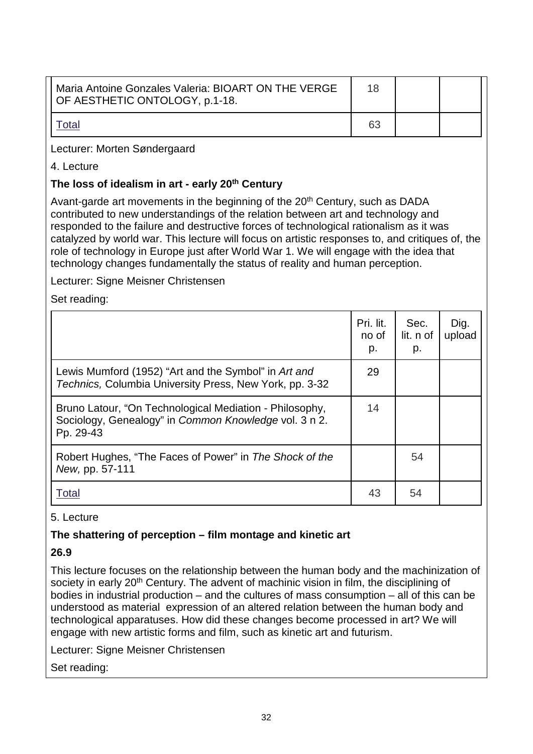| Maria Antoine Gonzales Valeria: BIOART ON THE VERGE<br>OF AESTHETIC ONTOLOGY, p.1-18. | 18 |  |
|---------------------------------------------------------------------------------------|----|--|
|                                                                                       | 63 |  |

Lecturer: Morten Søndergaard

4. Lecture

### **The loss of idealism in art - early 20th Century**

Avant-garde art movements in the beginning of the  $20<sup>th</sup>$  Century, such as DADA contributed to new understandings of the relation between art and technology and responded to the failure and destructive forces of technological rationalism as it was catalyzed by world war. This lecture will focus on artistic responses to, and critiques of, the role of technology in Europe just after World War 1. We will engage with the idea that technology changes fundamentally the status of reality and human perception.

Lecturer: Signe Meisner Christensen

Set reading:

|                                                                                                                               | Pri. lit.<br>no of<br>p. | Sec.<br>lit. n of<br>p. | Dig.<br>upload |
|-------------------------------------------------------------------------------------------------------------------------------|--------------------------|-------------------------|----------------|
| Lewis Mumford (1952) "Art and the Symbol" in Art and<br>Technics, Columbia University Press, New York, pp. 3-32               | 29                       |                         |                |
| Bruno Latour, "On Technological Mediation - Philosophy,<br>Sociology, Genealogy" in Common Knowledge vol. 3 n 2.<br>Pp. 29-43 | 14                       |                         |                |
| Robert Hughes, "The Faces of Power" in The Shock of the<br>New, pp. 57-111                                                    |                          | 54                      |                |
| I otal                                                                                                                        | 43                       | 54                      |                |

#### 5. Lecture

#### **The shattering of perception – film montage and kinetic art**

#### **26.9**

This lecture focuses on the relationship between the human body and the machinization of society in early 20<sup>th</sup> Century. The advent of machinic vision in film, the disciplining of bodies in industrial production – and the cultures of mass consumption – all of this can be understood as material expression of an altered relation between the human body and technological apparatuses. How did these changes become processed in art? We will engage with new artistic forms and film, such as kinetic art and futurism.

Lecturer: Signe Meisner Christensen

Set reading: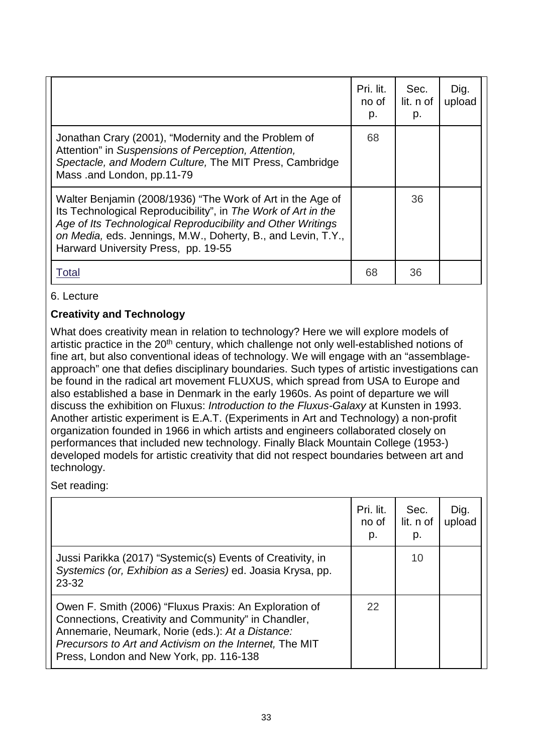|                                                                                                                                                                                                                                                                                                   | Pri. lit.<br>no of<br>p. | Sec.<br>lit. n of<br>p. | Dig.<br>upload |
|---------------------------------------------------------------------------------------------------------------------------------------------------------------------------------------------------------------------------------------------------------------------------------------------------|--------------------------|-------------------------|----------------|
| Jonathan Crary (2001), "Modernity and the Problem of<br>Attention" in Suspensions of Perception, Attention,<br>Spectacle, and Modern Culture, The MIT Press, Cambridge<br>Mass .and London, pp.11-79                                                                                              | 68                       |                         |                |
| Walter Benjamin (2008/1936) "The Work of Art in the Age of<br>Its Technological Reproducibility", in The Work of Art in the<br>Age of Its Technological Reproducibility and Other Writings<br>on Media, eds. Jennings, M.W., Doherty, B., and Levin, T.Y.,<br>Harward University Press, pp. 19-55 |                          | 36                      |                |
| Total                                                                                                                                                                                                                                                                                             | 68                       | 36                      |                |

6. Lecture

## **Creativity and Technology**

What does creativity mean in relation to technology? Here we will explore models of artistic practice in the 20<sup>th</sup> century, which challenge not only well-established notions of fine art, but also conventional ideas of technology. We will engage with an "assemblageapproach" one that defies disciplinary boundaries. Such types of artistic investigations can be found in the radical art movement FLUXUS, which spread from USA to Europe and also established a base in Denmark in the early 1960s. As point of departure we will discuss the exhibition on Fluxus: *Introduction to the Fluxus-Galaxy* at Kunsten in 1993. Another artistic experiment is E.A.T. (Experiments in Art and Technology) a non-profit organization founded in 1966 in which artists and engineers collaborated closely on performances that included new technology. Finally Black Mountain College (1953-) developed models for artistic creativity that did not respect boundaries between art and technology.

Set reading:

|                                                                                                                                                                                                                                                                         | Pri. lit.<br>no of<br>p. | Sec.<br>lit. n of<br>p. | Dig.<br>upload |
|-------------------------------------------------------------------------------------------------------------------------------------------------------------------------------------------------------------------------------------------------------------------------|--------------------------|-------------------------|----------------|
| Jussi Parikka (2017) "Systemic(s) Events of Creativity, in<br>Systemics (or, Exhibion as a Series) ed. Joasia Krysa, pp.<br>23-32                                                                                                                                       |                          | 10                      |                |
| Owen F. Smith (2006) "Fluxus Praxis: An Exploration of<br>Connections, Creativity and Community" in Chandler,<br>Annemarie, Neumark, Norie (eds.): At a Distance:<br>Precursors to Art and Activism on the Internet, The MIT<br>Press, London and New York, pp. 116-138 | 22                       |                         |                |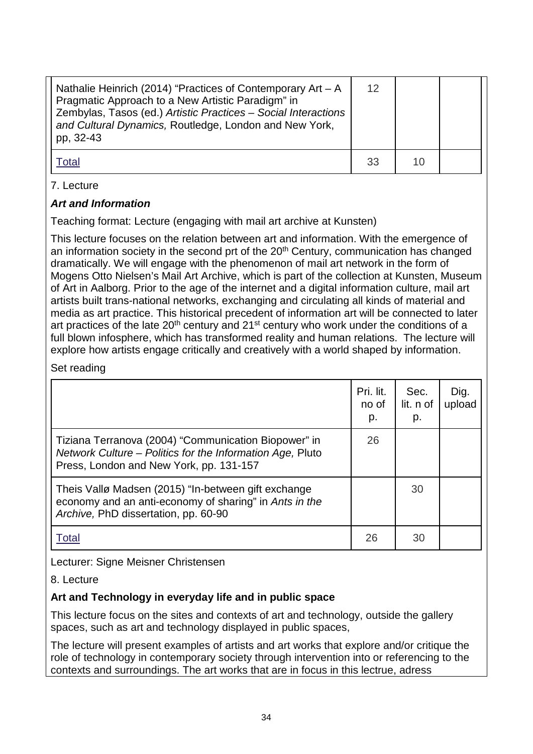| Nathalie Heinrich (2014) "Practices of Contemporary Art $- A$<br>Pragmatic Approach to a New Artistic Paradigm" in<br>Zembylas, Tasos (ed.) Artistic Practices - Social Interactions<br>and Cultural Dynamics, Routledge, London and New York,<br>pp, 32-43 | 12 |  |
|-------------------------------------------------------------------------------------------------------------------------------------------------------------------------------------------------------------------------------------------------------------|----|--|
| ⊺otal                                                                                                                                                                                                                                                       | 33 |  |

## 7. Lecture

## *Art and Information*

Teaching format: Lecture (engaging with mail art archive at Kunsten)

This lecture focuses on the relation between art and information. With the emergence of an information society in the second prt of the 20<sup>th</sup> Century, communication has changed dramatically. We will engage with the phenomenon of mail art network in the form of Mogens Otto Nielsen's Mail Art Archive, which is part of the collection at Kunsten, Museum of Art in Aalborg. Prior to the age of the internet and a digital information culture, mail art artists built trans-national networks, exchanging and circulating all kinds of material and media as art practice. This historical precedent of information art will be connected to later art practices of the late  $20<sup>th</sup>$  century and  $21<sup>st</sup>$  century who work under the conditions of a full blown infosphere, which has transformed reality and human relations. The lecture will explore how artists engage critically and creatively with a world shaped by information.

## Set reading

|                                                                                                                                                              | Pri. lit.<br>no of<br>p. | Sec.<br>lit. n of<br>p. | Dig.<br>upload |
|--------------------------------------------------------------------------------------------------------------------------------------------------------------|--------------------------|-------------------------|----------------|
| Tiziana Terranova (2004) "Communication Biopower" in<br>Network Culture - Politics for the Information Age, Pluto<br>Press, London and New York, pp. 131-157 | 26                       |                         |                |
| Theis Vallø Madsen (2015) "In-between gift exchange<br>economy and an anti-economy of sharing" in Ants in the<br>Archive, PhD dissertation, pp. 60-90        |                          | 30                      |                |
| Total                                                                                                                                                        | 26                       | 30                      |                |

Lecturer: Signe Meisner Christensen

## 8. Lecture

## **Art and Technology in everyday life and in public space**

This lecture focus on the sites and contexts of art and technology, outside the gallery spaces, such as art and technology displayed in public spaces,

The lecture will present examples of artists and art works that explore and/or critique the role of technology in contemporary society through intervention into or referencing to the contexts and surroundings. The art works that are in focus in this lectrue, adress